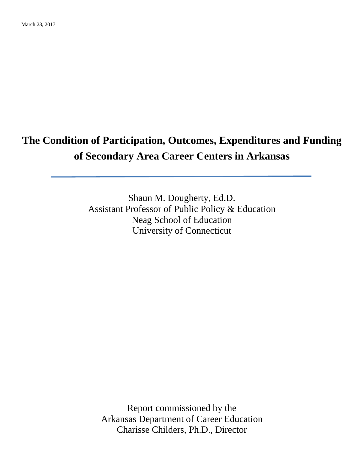# **The Condition of Participation, Outcomes, Expenditures and Funding of Secondary Area Career Centers in Arkansas**

Shaun M. Dougherty, Ed.D. Assistant Professor of Public Policy & Education Neag School of Education University of Connecticut

Report commissioned by the Arkansas Department of Career Education Charisse Childers, Ph.D., Director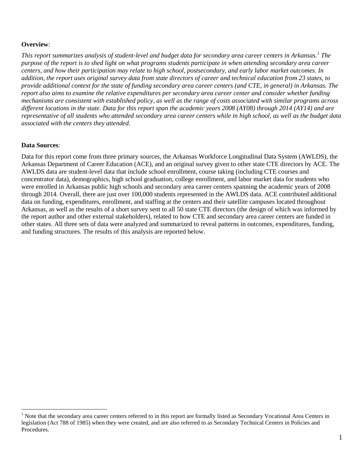#### **Overview**:

*This report summarizes analysis of student-level and budget data for secondary area career centers in Arkansas.[1](#page-1-0) The purpose of the report is to shed light on what programs students participate in when attending secondary area career centers, and how their participation may relate to high school, postsecondary, and early labor market outcomes. In addition, the report uses original survey data from state directors of career and technical education from 23 states, to provide additional context for the state of funding secondary area career centers (and CTE, in general) in Arkansas. The report also aims to examine the relative expenditures per secondary area career center and consider whether funding mechanisms are consistent with established policy, as well as the range of costs associated with similar programs across different locations in the state. Data for this report span the academic years 2008 (AY08) through 2014 (AY14) and are representative of all students who attended secondary area career centers while in high school, as well as the budget data associated with the centers they attended.*

#### **Data Sources**:

Data for this report come from three primary sources, the Arkansas Workforce Longitudinal Data System (AWLDS), the Arkansas Department of Career Education (ACE), and an original survey given to other state CTE directors by ACE. The AWLDS data are student-level data that include school enrollment, course taking (including CTE courses and concentrator data), demographics, high school graduation, college enrollment, and labor market data for students who were enrolled in Arkansas public high schools and secondary area career centers spanning the academic years of 2008 through 2014. Overall, there are just over 100,000 students represented in the AWLDS data. ACE contributed additional data on funding, expenditures, enrollment, and staffing at the centers and their satellite campuses located throughout Arkansas, as well as the results of a short survey sent to all 50 state CTE directors (the design of which was informed by the report author and other external stakeholders), related to how CTE and secondary area career centers are funded in other states. All three sets of data were analyzed and summarized to reveal patterns in outcomes, expenditures, funding, and funding structures. The results of this analysis are reported below.

<span id="page-1-0"></span><sup>&</sup>lt;sup>1</sup> Note that the secondary area career centers referred to in this report are formally listed as Secondary Vocational Area Centers in legislation (Act 788 of 1985) when they were created, and are also referred to as Secondary Technical Centers in Policies and Procedures.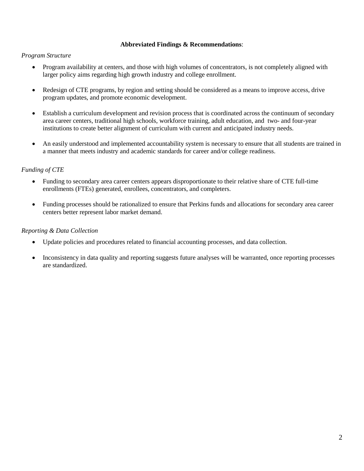#### **Abbreviated Findings & Recommendations**:

#### *Program Structure*

- Program availability at centers, and those with high volumes of concentrators, is not completely aligned with larger policy aims regarding high growth industry and college enrollment.
- Redesign of CTE programs, by region and setting should be considered as a means to improve access, drive program updates, and promote economic development.
- Establish a curriculum development and revision process that is coordinated across the continuum of secondary area career centers, traditional high schools, workforce training, adult education, and two- and four-year institutions to create better alignment of curriculum with current and anticipated industry needs.
- An easily understood and implemented accountability system is necessary to ensure that all students are trained in a manner that meets industry and academic standards for career and/or college readiness.

# *Funding of CTE*

- Funding to secondary area career centers appears disproportionate to their relative share of CTE full-time enrollments (FTEs) generated, enrollees, concentrators, and completers.
- Funding processes should be rationalized to ensure that Perkins funds and allocations for secondary area career centers better represent labor market demand.

#### *Reporting & Data Collection*

- Update policies and procedures related to financial accounting processes, and data collection.
- Inconsistency in data quality and reporting suggests future analyses will be warranted, once reporting processes are standardized.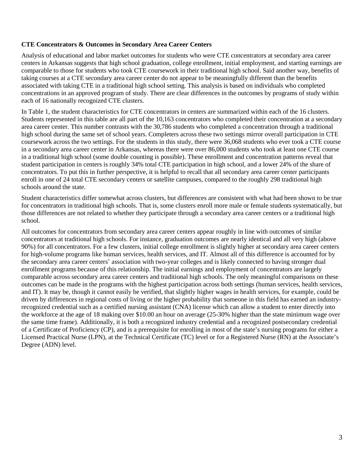#### **CTE Concentrators & Outcomes in Secondary Area Career Centers**

Analysis of educational and labor market outcomes for students who were CTE concentrators at secondary area career centers in Arkansas suggests that high school graduation, college enrollment, initial employment, and starting earnings are comparable to those for students who took CTE coursework in their traditional high school. Said another way, benefits of taking courses at a CTE secondary area career center do not appear to be meaningfully different than the benefits associated with taking CTE in a traditional high school setting. This analysis is based on individuals who completed concentrations in an approved program of study. There are clear differences in the outcomes by programs of study within each of 16 nationally recognized CTE clusters.

In Table 1, the student characteristics for CTE concentrators in centers are summarized within each of the 16 clusters. Students represented in this table are all part of the 10,163 concentrators who completed their concentration at a secondary area career center. This number contrasts with the 30,786 students who completed a concentration through a traditional high school during the same set of school years. Completers across these two settings mirror overall participation in CTE coursework across the two settings. For the students in this study, there were 36,068 students who ever took a CTE course in a secondary area career center in Arkansas, whereas there were over 86,000 students who took at least one CTE course in a traditional high school (some double counting is possible). These enrollment and concentration patterns reveal that student participation in centers is roughly 34% total CTE participation in high school, and a lower 24% of the share of concentrators. To put this in further perspective, it is helpful to recall that all secondary area career center participants enroll in one of 24 total CTE secondary centers or satellite campuses, compared to the roughly 298 traditional high schools around the state.

Student characteristics differ somewhat across clusters, but differences are consistent with what had been shown to be true for concentrators in traditional high schools. That is, some clusters enroll more male or female students systematically, but those differences are not related to whether they participate through a secondary area career centers or a traditional high school.

All outcomes for concentrators from secondary area career centers appear roughly in line with outcomes of similar concentrators at traditional high schools. For instance, graduation outcomes are nearly identical and all very high (above 90%) for all concentrators. For a few clusters, initial college enrollment is slightly higher at secondary area career centers for high-volume programs like human services, health services, and IT. Almost all of this difference is accounted for by the secondary area career centers' association with two-year colleges and is likely connected to having stronger dual enrollment programs because of this relationship. The initial earnings and employment of concentrators are largely comparable across secondary area career centers and traditional high schools. The only meaningful comparisons on these outcomes can be made in the programs with the highest participation across both settings (human services, health services, and IT). It may be, though it cannot easily be verified, that slightly higher wages in health services, for example, could be driven by differences in regional costs of living or the higher probability that someone in this field has earned an industryrecognized credential such as a certified nursing assistant (CNA) license which can allow a student to enter directly into the workforce at the age of 18 making over \$10.00 an hour on average (25-30% higher than the state minimum wage over the same time frame). Additionally, it is both a recognized industry credential and a recognized postsecondary credential of a Certificate of Proficiency (CP), and is a prerequisite for enrolling in most of the state's nursing programs for either a Licensed Practical Nurse (LPN), at the Technical Certificate (TC) level or for a Registered Nurse (RN) at the Associate's Degree (ADN) level.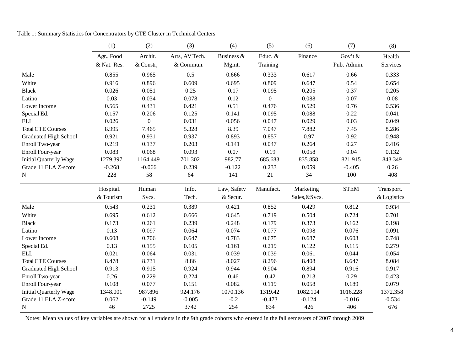|                               | (1)         | (2)              | (3)            | (4)         | (5)          | (6)            | (7)         | (8)         |
|-------------------------------|-------------|------------------|----------------|-------------|--------------|----------------|-------------|-------------|
|                               | Agr., Food  | Archit.          | Arts, AV Tech. | Business &  | Educ. &      | Finance        | Gov't $&$   | Health      |
|                               | & Nat. Res. | & Constr,        | & Commun.      | Mgmt.       | Training     |                | Pub. Admin. | Services    |
| Male                          | 0.855       | 0.965            | 0.5            | 0.666       | 0.333        | 0.617          | 0.66        | 0.333       |
| White                         | 0.916       | 0.896            | 0.609          | 0.695       | 0.809        | 0.647          | 0.54        | 0.654       |
| <b>Black</b>                  | 0.026       | 0.051            | 0.25           | 0.17        | 0.095        | 0.205          | 0.37        | 0.205       |
| Latino                        | 0.03        | 0.034            | 0.078          | 0.12        | $\mathbf{0}$ | 0.088          | 0.07        | 0.08        |
| Lower Income                  | 0.565       | 0.431            | 0.421          | 0.51        | 0.476        | 0.529          | 0.76        | 0.536       |
| Special Ed.                   | 0.157       | 0.206            | 0.125          | 0.141       | 0.095        | 0.088          | 0.22        | 0.041       |
| <b>ELL</b>                    | 0.026       | $\boldsymbol{0}$ | 0.031          | 0.056       | 0.047        | 0.029          | 0.03        | 0.049       |
| <b>Total CTE Courses</b>      | 8.995       | 7.465            | 5.328          | 8.39        | 7.047        | 7.882          | 7.45        | 8.286       |
| <b>Graduated High School</b>  | 0.921       | 0.931            | 0.937          | 0.893       | 0.857        | 0.97           | 0.92        | 0.948       |
| Enroll Two-year               | 0.219       | 0.137            | 0.203          | 0.141       | 0.047        | 0.264          | 0.27        | 0.416       |
| Enroll Four-year              | 0.083       | 0.068            | 0.093          | 0.07        | 0.19         | 0.058          | 0.04        | 0.132       |
| <b>Initial Quarterly Wage</b> | 1279.397    | 1164.449         | 701.302        | 982.77      | 685.683      | 835.858        | 821.915     | 843.349     |
| Grade 11 ELA Z-score          | $-0.268$    | $-0.066$         | 0.239          | $-0.122$    | 0.233        | 0.059          | $-0.405$    | 0.26        |
| N                             | 228         | 58               | 64             | 141         | 21           | 34             | 100         | 408         |
|                               | Hospital.   | Human            | Info.          | Law, Safety | Manufact.    | Marketing      | <b>STEM</b> | Transport.  |
|                               | & Tourism   | Svcs.            | Tech.          | & Secur.    |              | Sales, & Svcs. |             | & Logistics |
| Male                          | 0.543       | 0.231            | 0.389          | 0.421       | 0.852        | 0.429          | 0.812       | 0.934       |
| White                         | 0.695       | 0.612            | 0.666          | 0.645       | 0.719        | 0.504          | 0.724       | 0.701       |
| <b>Black</b>                  | 0.173       | 0.261            | 0.239          | 0.248       | 0.179        | 0.373          | 0.162       | 0.198       |
| Latino                        | 0.13        | 0.097            | 0.064          | 0.074       | 0.077        | 0.098          | 0.076       | 0.091       |
| Lower Income                  | 0.608       | 0.706            | 0.647          | 0.783       | 0.675        | 0.687          | 0.603       | 0.748       |
| Special Ed.                   | 0.13        | 0.155            | 0.105          | 0.161       | 0.219        | 0.122          | 0.115       | 0.279       |
| <b>ELL</b>                    | 0.021       | 0.064            | 0.031          | 0.039       | 0.039        | 0.061          | 0.044       | 0.054       |
| <b>Total CTE Courses</b>      | 8.478       | 8.731            | 8.86           | 8.027       | 8.296        | 8.408          | 8.647       | 8.084       |
| <b>Graduated High School</b>  | 0.913       | 0.915            | 0.924          | 0.944       | 0.904        | 0.894          | 0.916       | 0.917       |
| Enroll Two-year               | 0.26        | 0.229            | 0.224          | 0.46        | 0.42         | 0.213          | 0.29        | 0.423       |
| Enroll Four-year              | 0.108       | 0.077            | 0.151          | 0.082       | 0.119        | 0.058          | 0.189       | 0.079       |
| <b>Initial Quarterly Wage</b> | 1348.001    | 987.896          | 924.176        | 1070.136    | 1319.42      | 1082.104       | 1016.228    | 1372.358    |
| Grade 11 ELA Z-score          | 0.062       | $-0.149$         | $-0.005$       | $-0.2$      | $-0.473$     | $-0.124$       | $-0.016$    | $-0.534$    |
| N                             | 46          | 2725             | 3742           | 254         | 834          | 426            | 406         | 676         |

Table 1: Summary Statistics for Concentrators by CTE Cluster in Technical Centers

Notes: Mean values of key variables are shown for all students in the 9th grade cohorts who entered in the fall semesters of 2007 through 2009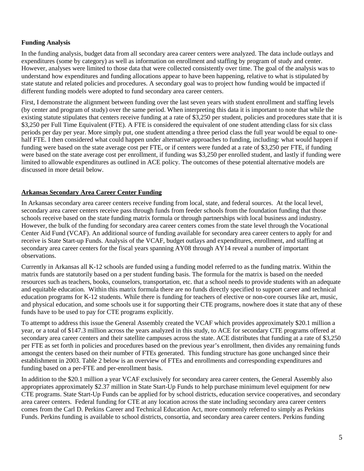# **Funding Analysis**

In the funding analysis, budget data from all secondary area career centers were analyzed. The data include outlays and expenditures (some by category) as well as information on enrollment and staffing by program of study and center. However, analyses were limited to those data that were collected consistently over time. The goal of the analysis was to understand how expenditures and funding allocations appear to have been happening, relative to what is stipulated by state statute and related policies and procedures. A secondary goal was to project how funding would be impacted if different funding models were adopted to fund secondary area career centers.

First, I demonstrate the alignment between funding over the last seven years with student enrollment and staffing levels (by center and program of study) over the same period. When interpreting this data it is important to note that while the existing statute stipulates that centers receive funding at a rate of \$3,250 per student, policies and procedures state that it is \$3,250 per Full Time Equivalent (FTE). A FTE is considered the equivalent of one student attending class for six class periods per day per year. More simply put, one student attending a three period class the full year would be equal to onehalf FTE. I then considered what could happen under alternative approaches to funding, including: what would happen if funding were based on the state average cost per FTE, or if centers were funded at a rate of \$3,250 per FTE, if funding were based on the state average cost per enrollment, if funding was \$3,250 per enrolled student, and lastly if funding were limited to allowable expenditures as outlined in ACE policy. The outcomes of these potential alternative models are discussed in more detail below.

# **Arkansas Secondary Area Career Center Funding**

In Arkansas secondary area career centers receive funding from local, state, and federal sources. At the local level, secondary area career centers receive pass through funds from feeder schools from the foundation funding that those schools receive based on the state funding matrix formula or through partnerships with local business and industry. However, the bulk of the funding for secondary area career centers comes from the state level through the Vocational Center Aid Fund (VCAF). An additional source of funding available for secondary area career centers to apply for and receive is State Start-up Funds. Analysis of the VCAF, budget outlays and expenditures, enrollment, and staffing at secondary area career centers for the fiscal years spanning AY08 through AY14 reveal a number of important observations.

Currently in Arkansas all K-12 schools are funded using a funding model referred to as the funding matrix. Within the matrix funds are statutorily based on a per student funding basis. The formula for the matrix is based on the needed resources such as teachers, books, counselors, transportation, etc. that a school needs to provide students with an adequate and equitable education. Within this matrix formula there are no funds directly specified to support career and technical education programs for K-12 students. While there is funding for teachers of elective or non-core courses like art, music, and physical education, and some schools use it for supporting their CTE programs, nowhere does it state that any of these funds have to be used to pay for CTE programs explicitly.

To attempt to address this issue the General Assembly created the VCAF which provides approximately \$20.1 million a year, or a total of \$147.3 million across the years analyzed in this study, to ACE for secondary CTE programs offered at secondary area career centers and their satellite campuses across the state. ACE distributes that funding at a rate of \$3,250 per FTE as set forth in policies and procedures based on the previous year's enrollment, then divides any remaining funds amongst the centers based on their number of FTEs generated. This funding structure has gone unchanged since their establishment in 2003. Table 2 below is an overview of FTEs and enrollments and corresponding expenditures and funding based on a per-FTE and per-enrollment basis.

In addition to the \$20.1 million a year VCAF exclusively for secondary area career centers, the General Assembly also appropriates approximately \$2.37 million in State Start-Up Funds to help purchase minimum level equipment for new CTE programs. State Start-Up Funds can be applied for by school districts, education service cooperatives, and secondary area career centers. Federal funding for CTE at any location across the state including secondary area career centers comes from the Carl D. Perkins Career and Technical Education Act, more commonly referred to simply as Perkins Funds. Perkins funding is available to school districts, consortia, and secondary area career centers. Perkins funding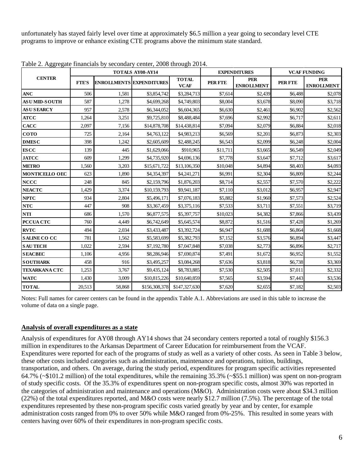unfortunately has stayed fairly level over time at approximately \$6.5 million a year going to secondary level CTE programs to improve or enhance existing CTE programs above the minimum state standard.

|                       |              |                                 | <b>TOTALS AY08-AY14</b> |                             |          | <b>EXPENDITURES</b>             | <b>VCAF FUNDING</b> |                                 |
|-----------------------|--------------|---------------------------------|-------------------------|-----------------------------|----------|---------------------------------|---------------------|---------------------------------|
| <b>CENTER</b>         | <b>FTE'S</b> | <b>ENROLLMENTS EXPENDITURES</b> |                         | <b>TOTAL</b><br><b>VCAF</b> | PER FTE  | <b>PER</b><br><b>ENROLLMENT</b> | <b>PER FTE</b>      | <b>PER</b><br><b>ENROLLMENT</b> |
| <b>ANC</b>            | 506          | 1,581                           | \$3,854,742             | \$3,284,713                 | \$7,614  | \$2,439                         | \$6,488             | \$2,078                         |
| <b>ASUMID-SOUTH</b>   | 587          | 1,278                           | \$4,699,268             | \$4,749,803                 | \$8,004  | \$3,678                         | \$8,090             | \$3,718                         |
| <b>ASUSEARCY</b>      | 957          | 2,578                           | \$6,344,052             | \$6,604,365                 | \$6,630  | \$2,461                         | \$6,902             | \$2,562                         |
| <b>ATCC</b>           | 1,264        | 3,251                           | \$9,725,810             | \$8,488,484                 | \$7,696  | \$2,992                         | \$6,717             | \$2,611                         |
| <b>CACC</b>           | 2,097        | 7,156                           | \$14,878,708            | \$14,438,814                | \$7,094  | \$2,079                         | \$6,884             | \$2,018                         |
| <b>COTO</b>           | 725          | 2,164                           | \$4,763,122             | \$4,983,213                 | \$6,569  | \$2,201                         | \$6,873             | \$2,303                         |
| <b>DMESC</b>          | 398          | 1,242                           | \$2,605,609             | \$2,488,245                 | \$6,543  | \$2,099                         | \$6,248             | \$2,004                         |
| <b>ES CC</b>          | 139          | 445                             | \$1,629,066             | \$910,965                   | \$11,711 | \$3,665                         | \$6,549             | \$2,049                         |
| <b>JATCC</b>          | 609          | 1,299                           | \$4,735,920             | \$4,696,136                 | \$7,778  | \$3,647                         | \$7,712             | \$3,617                         |
| <b>METRO</b>          | 1,560        | 3,203                           | \$15,671,722            | \$13,106,350                | \$10,048 | \$4,894                         | \$8,403             | \$4,093                         |
| <b>MONTICELLO OEC</b> | 623          | 1,890                           | \$4,354,397             | \$4,241,271                 | \$6,991  | \$2,304                         | \$6,809             | \$2,244                         |
| <b>NCCC</b>           | 248          | 845                             | \$2,159,796             | \$1,876,203                 | \$8,714  | \$2,557                         | \$7,570             | \$2,222                         |
| <b>NEACTC</b>         | 1,429        | 3,374                           | \$10,159,793            | \$9,941,187                 | \$7,110  | \$3,012                         | \$6,957             | \$2,947                         |
| <b>NPTC</b>           | 934          | 2,804                           | \$5,496,171             | \$7,076,183                 | \$5,882  | \$1,960                         | \$7,573             | \$2,524                         |
| <b>NTC</b>            | 447          | 908                             | \$3,367,459             | \$3,375,116                 | \$7,533  | \$3,711                         | \$7,551             | \$3,719                         |
| <b>NTI</b>            | 686          | 1,570                           | \$6,877,575             | \$5,397,757                 | \$10,023 | \$4,382                         | \$7,866             | \$3,439                         |
| <b>PCCUA CTC</b>      | 760          | 4,449                           | \$6,742,649             | \$5,645,574                 | \$8,872  | \$1,516                         | \$7,428             | \$1,269                         |
| <b>RVTC</b>           | 494          | 2,034                           | \$3,433,487             | \$3,392,724                 | \$6,947  | \$1,688                         | \$6,864             | \$1,668                         |
| <b>SALINE CO CC</b>   | 781          | 1,562                           | \$5,583,699             | \$5,382,793                 | \$7,152  | \$3,576                         | \$6,894             | \$3,447                         |
| <b>SAUTECH</b>        | 1,022        | 2,594                           | \$7,192,780             | \$7,047,848                 | \$7,038  | \$2,773                         | \$6,896             | \$2,717                         |
| <b>SEACBEC</b>        | 1,106        | 4,956                           | \$8,286,946             | \$7,690,874                 | \$7,491  | \$1,672                         | \$6,952             | \$1,552                         |
| <b>SOUTHARK</b>       | 458          | 916                             | \$3,495,257             | \$3,084,268                 | \$7,636  | \$3,818                         | \$6,738             | \$3,369                         |
| <b>TEXARKANA CTC</b>  | 1,253        | 3,767                           | \$9,435,124             | \$8,783,885                 | \$7,530  | \$2,505                         | \$7,011             | \$2,332                         |
| <b>WATC</b>           | 1,430        | 3,009                           | \$10,815,226            | \$10,640,859                | \$7,565  | \$3,594                         | \$7,443             | \$3,536                         |
| <b>TOTAL</b>          | 20,513       | 58,868                          | \$156,308,378           | \$147,327,630               | \$7,620  | \$2,655                         | \$7,182             | \$2,503                         |

Table 2. Aggregate financials by secondary center, 2008 through 2014.

Notes: Full names for career centers can be found in the appendix Table A.1. Abbreviations are used in this table to increase the volume of data on a single page.

#### **Analysis of overall expenditures as a state**

Analysis of expenditures for AY08 through AY14 shows that 24 secondary centers reported a total of roughly \$156.3 million in expenditures to the Arkansas Department of Career Education for reimbursement from the VCAF. Expenditures were reported for each of the programs of study as well as a variety of other costs. As seen in Table 3 below, these other costs included categories such as administration, maintenance and operations, tuition, buildings, transportation, and others. On average, during the study period, expenditures for program specific activities represented 64.7% (~\$101.2 million) of the total expenditures, while the remaining 35.3% (~\$55.1 million) was spent on non-program of study specific costs. Of the 35.3% of expenditures spent on non-program specific costs, almost 30% was reported in the categories of administration and maintenance and operations (M&O). Administration costs were about \$34.3 million (22%) of the total expenditures reported, and M&O costs were nearly \$12.7 million (7.5%). The percentage of the total expenditures represented by these non-program specific costs varied greatly by year and by center, for example administration costs ranged from 0% to over 50% while M&O ranged from 0%-25%. This resulted in some years with centers having over 60% of their expenditures in non-program specific costs.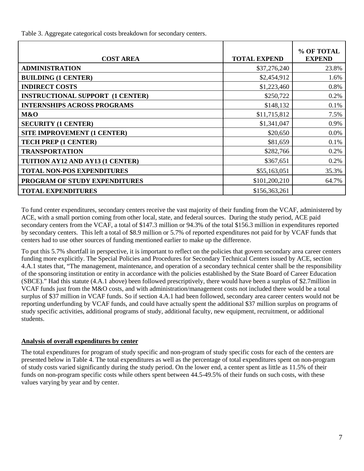Table 3. Aggregate categorical costs breakdown for secondary centers.

| <b>COST AREA</b>                        | <b>TOTAL EXPEND</b> | % OF TOTAL<br><b>EXPEND</b> |
|-----------------------------------------|---------------------|-----------------------------|
| <b>ADMINISTRATION</b>                   | \$37,276,240        | 23.8%                       |
| <b>BUILDING (1 CENTER)</b>              | \$2,454,912         | 1.6%                        |
| <b>INDIRECT COSTS</b>                   | \$1,223,460         | 0.8%                        |
| <b>INSTRUCTIONAL SUPPORT (1 CENTER)</b> | \$250,722           | 0.2%                        |
| <b>INTERNSHIPS ACROSS PROGRAMS</b>      | \$148,132           | 0.1%                        |
| M&O                                     | \$11,715,812        | 7.5%                        |
| <b>SECURITY (1 CENTER)</b>              | \$1,341,047         | 0.9%                        |
| <b>SITE IMPROVEMENT (1 CENTER)</b>      | \$20,650            | $0.0\%$                     |
| TECH PREP (1 CENTER)                    | \$81,659            | 0.1%                        |
| <b>TRANSPORTATION</b>                   | \$282,766           | $0.2\%$                     |
| TUITION AY12 AND AY13 (1 CENTER)        | \$367,651           | 0.2%                        |
| <b>TOTAL NON-POS EXPENDITURES</b>       | \$55,163,051        | 35.3%                       |
| PROGRAM OF STUDY EXPENDITURES           | \$101,200,210       | 64.7%                       |
| <b>TOTAL EXPENDITURES</b>               | \$156,363,261       |                             |

To fund center expenditures, secondary centers receive the vast majority of their funding from the VCAF, administered by ACE, with a small portion coming from other local, state, and federal sources. During the study period, ACE paid secondary centers from the VCAF, a total of \$147.3 million or 94.3% of the total \$156.3 million in expenditures reported by secondary centers. This left a total of \$8.9 million or 5.7% of reported expenditures not paid for by VCAF funds that centers had to use other sources of funding mentioned earlier to make up the difference.

To put this 5.7% shortfall in perspective, it is important to reflect on the policies that govern secondary area career centers funding more explicitly. The Special Policies and Procedures for Secondary Technical Centers issued by ACE, section 4.A.1 states that, "The management, maintenance, and operation of a secondary technical center shall be the responsibility of the sponsoring institution or entity in accordance with the policies established by the State Board of Career Education (SBCE)." Had this statute (4.A.1 above) been followed prescriptively, there would have been a surplus of \$2.7million in VCAF funds just from the M&O costs, and with administration/management costs not included there would be a total surplus of \$37 million in VCAF funds. So if section 4.A.1 had been followed, secondary area career centers would not be reporting underfunding by VCAF funds, and could have actually spent the additional \$37 million surplus on programs of study specific activities, additional programs of study, additional faculty, new equipment, recruitment, or additional students.

#### **Analysis of overall expenditures by center**

The total expenditures for program of study specific and non-program of study specific costs for each of the centers are presented below in Table 4. The total expenditures as well as the percentage of total expenditures spent on non-program of study costs varied significantly during the study period. On the lower end, a center spent as little as 11.5% of their funds on non-program specific costs while others spent between 44.5-49.5% of their funds on such costs, with these values varying by year and by center.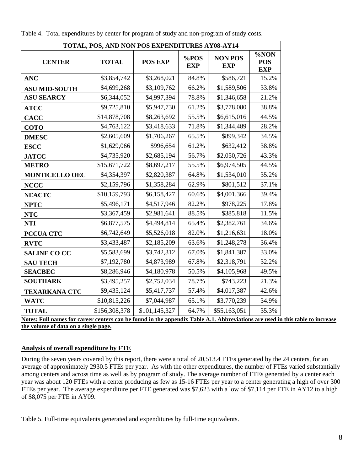| TOTAL, POS, AND NON POS EXPENDITURES AY08-AY14 |               |                |                    |                              |                                  |  |  |  |  |  |  |
|------------------------------------------------|---------------|----------------|--------------------|------------------------------|----------------------------------|--|--|--|--|--|--|
| <b>CENTER</b>                                  | <b>TOTAL</b>  | <b>POS EXP</b> | %POS<br><b>EXP</b> | <b>NON POS</b><br><b>EXP</b> | %NON<br><b>POS</b><br><b>EXP</b> |  |  |  |  |  |  |
| <b>ANC</b>                                     | \$3,854,742   | \$3,268,021    | 84.8%              | \$586,721                    | 15.2%                            |  |  |  |  |  |  |
| <b>ASU MID-SOUTH</b>                           | \$4,699,268   | \$3,109,762    | 66.2%              | \$1,589,506                  | 33.8%                            |  |  |  |  |  |  |
| <b>ASU SEARCY</b>                              | \$6,344,052   | \$4,997,394    | 78.8%              | \$1,346,658                  | 21.2%                            |  |  |  |  |  |  |
| <b>ATCC</b>                                    | \$9,725,810   | \$5,947,730    | 61.2%              | \$3,778,080                  | 38.8%                            |  |  |  |  |  |  |
| <b>CACC</b>                                    | \$14,878,708  | \$8,263,692    | 55.5%              | \$6,615,016                  | 44.5%                            |  |  |  |  |  |  |
| <b>COTO</b>                                    | \$4,763,122   | \$3,418,633    | 71.8%              | \$1,344,489                  | 28.2%                            |  |  |  |  |  |  |
| <b>DMESC</b>                                   | \$2,605,609   | \$1,706,267    | 65.5%              | \$899,342                    | 34.5%                            |  |  |  |  |  |  |
| <b>ESCC</b>                                    | \$1,629,066   | \$996,654      | 61.2%              | \$632,412                    | 38.8%                            |  |  |  |  |  |  |
| <b>JATCC</b>                                   | \$4,735,920   | \$2,685,194    | 56.7%              | \$2,050,726                  | 43.3%                            |  |  |  |  |  |  |
| <b>METRO</b>                                   | \$15,671,722  | \$8,697,217    | 55.5%              | \$6,974,505                  | 44.5%                            |  |  |  |  |  |  |
| <b>MONTICELLO OEC</b>                          | \$4,354,397   | \$2,820,387    | 64.8%              | \$1,534,010                  | 35.2%                            |  |  |  |  |  |  |
| <b>NCCC</b>                                    | \$2,159,796   | \$1,358,284    | 62.9%              | \$801,512                    | 37.1%                            |  |  |  |  |  |  |
| <b>NEACTC</b>                                  | \$10,159,793  | \$6,158,427    | 60.6%              | \$4,001,366                  | 39.4%                            |  |  |  |  |  |  |
| <b>NPTC</b>                                    | \$5,496,171   | \$4,517,946    | 82.2%              | \$978,225                    | 17.8%                            |  |  |  |  |  |  |
| <b>NTC</b>                                     | \$3,367,459   | \$2,981,641    | 88.5%              | \$385,818                    | 11.5%                            |  |  |  |  |  |  |
| <b>NTI</b>                                     | \$6,877,575   | \$4,494,814    | 65.4%              | \$2,382,761                  | 34.6%                            |  |  |  |  |  |  |
| <b>PCCUA CTC</b>                               | \$6,742,649   | \$5,526,018    | 82.0%              | \$1,216,631                  | 18.0%                            |  |  |  |  |  |  |
| <b>RVTC</b>                                    | \$3,433,487   | \$2,185,209    | 63.6%              | \$1,248,278                  | 36.4%                            |  |  |  |  |  |  |
| <b>SALINE CO CC</b>                            | \$5,583,699   | \$3,742,312    | 67.0%              | \$1,841,387                  | 33.0%                            |  |  |  |  |  |  |
| <b>SAU TECH</b>                                | \$7,192,780   | \$4,873,989    | 67.8%              | \$2,318,791                  | 32.2%                            |  |  |  |  |  |  |
| <b>SEACBEC</b>                                 | \$8,286,946   | \$4,180,978    | 50.5%              | \$4,105,968                  | 49.5%                            |  |  |  |  |  |  |
| <b>SOUTHARK</b>                                | \$3,495,257   | \$2,752,034    | 78.7%              | \$743,223                    | 21.3%                            |  |  |  |  |  |  |
| <b>TEXARKANA CTC</b>                           | \$9,435,124   | \$5,417,737    | 57.4%              | \$4,017,387                  | 42.6%                            |  |  |  |  |  |  |
| <b>WATC</b>                                    | \$10,815,226  | \$7,044,987    | 65.1%              | \$3,770,239                  | 34.9%                            |  |  |  |  |  |  |
| <b>TOTAL</b>                                   | \$156,308,378 | \$101,145,327  | 64.7%              | \$55,163,051                 | 35.3%                            |  |  |  |  |  |  |
|                                                |               |                |                    |                              |                                  |  |  |  |  |  |  |

Table 4. Total expenditures by center for program of study and non-program of study costs.

**Notes: Full names for career centers can be found in the appendix Table A.1. Abbreviations are used in this table to increase the volume of data on a single page.**

# **Analysis of overall expenditure by FTE**

During the seven years covered by this report, there were a total of 20,513.4 FTEs generated by the 24 centers, for an average of approximately 2930.5 FTEs per year. As with the other expenditures, the number of FTEs varied substantially among centers and across time as well as by program of study. The average number of FTEs generated by a center each year was about 120 FTEs with a center producing as few as 15-16 FTEs per year to a center generating a high of over 300 FTEs per year. The average expenditure per FTE generated was \$7,623 with a low of \$7,114 per FTE in AY12 to a high of \$8,075 per FTE in AY09.

Table 5. Full-time equivalents generated and expenditures by full-time equivalents.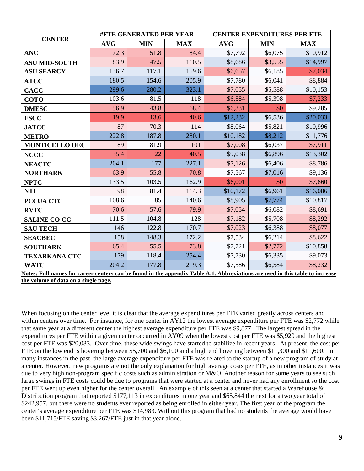| <b>CENTER</b>         |            | <b>#FTE GENERATED PER YEAR</b> |            | <b>CENTER EXPENDITURES PER FTE</b> |            |            |  |  |
|-----------------------|------------|--------------------------------|------------|------------------------------------|------------|------------|--|--|
|                       | <b>AVG</b> | <b>MIN</b>                     | <b>MAX</b> | <b>AVG</b>                         | <b>MIN</b> | <b>MAX</b> |  |  |
| <b>ANC</b>            | 72.3       | 51.8                           | 84.4       | \$7,792                            | \$6,075    | \$10,912   |  |  |
| <b>ASU MID-SOUTH</b>  | 83.9       | 47.5                           | 110.5      | \$8,686                            | \$3,555    | \$14,997   |  |  |
| <b>ASU SEARCY</b>     | 136.7      | 117.1                          | 159.6      | \$6,657                            | \$6,185    | \$7,034    |  |  |
| <b>ATCC</b>           | 180.5      | 154.6                          | 205.9      | \$7,780                            | \$6,041    | \$8,884    |  |  |
| <b>CACC</b>           | 299.6      | 280.2                          | 323.1      | \$7,055                            | \$5,588    | \$10,153   |  |  |
| <b>COTO</b>           | 103.6      | 81.5                           | 118        | \$6,584                            | \$5,398    | \$7,233    |  |  |
| <b>DMESC</b>          | 56.9       | 43.8                           | 68.4       | \$6,331                            | \$0        | \$9,285    |  |  |
| <b>ESCC</b>           | 19.9       | 13.6                           | 40.6       | \$12,232                           | \$6,536    | \$20,033   |  |  |
| <b>JATCC</b>          | 87         | 70.3                           | 114        | \$8,064                            | \$5,821    | \$10,996   |  |  |
| <b>METRO</b>          | 222.8      | 187.8                          | 280.1      | \$10,182                           | \$8,212    | \$11,776   |  |  |
| <b>MONTICELLO OEC</b> | 89         | 81.9                           | 101        | \$7,008                            | \$6,037    | \$7,911    |  |  |
| <b>NCCC</b>           | 35.4       | 22                             | 40.5       | \$9,038                            | \$6,896    | \$13,302   |  |  |
| <b>NEACTC</b>         | 204.1      | 177                            | 227.1      | \$7,126                            | \$6,406    | \$8,786    |  |  |
| <b>NORTHARK</b>       | 63.9       | 55.8                           | 70.8       | \$7,567                            | \$7,016    | \$9,136    |  |  |
| <b>NPTC</b>           | 133.5      | 103.5                          | 162.9      | \$6,001                            | \$0        | \$7,860    |  |  |
| <b>NTI</b>            | 98         | 81.4                           | 114.3      | \$10,172                           | \$6,961    | \$16,086   |  |  |
| <b>PCCUA CTC</b>      | 108.6      | 85                             | 140.6      | \$8,905                            | \$7,774    | \$10,817   |  |  |
| <b>RVTC</b>           | 70.6       | 57.6                           | 79.9       | \$7,054                            | \$6,082    | \$8,691    |  |  |
| <b>SALINE CO CC</b>   | 111.5      | 104.8                          | 128        | \$7,182                            | \$5,708    | \$8,292    |  |  |
| <b>SAU TECH</b>       | 146        | 122.8                          | 170.7      | \$7,023                            | \$6,388    | \$8,077    |  |  |
| <b>SEACBEC</b>        | 158        | 148.3                          | 172.2      | \$7,534                            | \$6,214    | \$8,622    |  |  |
| <b>SOUTHARK</b>       | 65.4       | 55.5                           | 73.8       | \$7,721                            | \$2,772    | \$10,858   |  |  |
| <b>TEXARKANA CTC</b>  | 179        | 118.4                          | 254.4      | \$7,730                            | \$6,335    | \$9,073    |  |  |
| <b>WATC</b>           | 204.2      | 177.8                          | 219.3      | \$7,586                            | \$6,584    | \$8,232    |  |  |

**Notes: Full names for career centers can be found in the appendix Table A.1. Abbreviations are used in this table to increase the volume of data on a single page.**

When focusing on the center level it is clear that the average expenditures per FTE varied greatly across centers and within centers over time. For instance, for one center in AY12 the lowest average expenditure per FTE was \$2,772 while that same year at a different center the highest average expenditure per FTE was \$9,877. The largest spread in the expenditures per FTE within a given center occurred in AY09 when the lowest cost per FTE was \$5,920 and the highest cost per FTE was \$20,033. Over time, these wide swings have started to stabilize in recent years. At present, the cost per FTE on the low end is hovering between \$5,700 and \$6,100 and a high end hovering between \$11,300 and \$11,600. In many instances in the past, the large average expenditure per FTE was related to the startup of a new program of study at a center. However, new programs are not the only explanation for high average costs per FTE, as in other instances it was due to very high non-program specific costs such as administration or M&O. Another reason for some years to see such large swings in FTE costs could be due to programs that were started at a center and never had any enrollment so the cost per FTE went up even higher for the center overall. An example of this seen at a center that started a Warehouse & Distribution program that reported \$177,113 in expenditures in one year and \$65,844 the next for a two year total of \$242,957, but there were no students ever reported as being enrolled in either year. The first year of the program the center's average expenditure per FTE was \$14,983. Without this program that had no students the average would have been \$11,715/FTE saving \$3,267/FTE just in that year alone.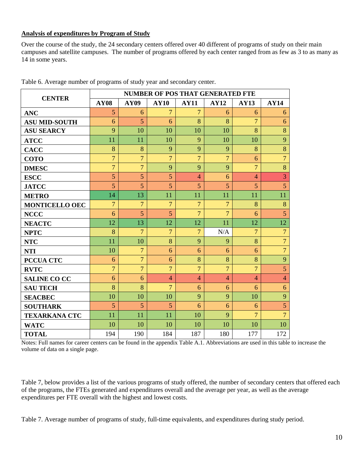#### **Analysis of expenditures by Program of Study**

Over the course of the study, the 24 secondary centers offered over 40 different of programs of study on their main campuses and satellite campuses. The number of programs offered by each center ranged from as few as 3 to as many as 14 in some years.

| <b>CENTER</b>         | <b>NUMBER OF POS THAT GENERATED FTE</b> |                |                |                |                |                |                |  |  |  |  |
|-----------------------|-----------------------------------------|----------------|----------------|----------------|----------------|----------------|----------------|--|--|--|--|
|                       | <b>AY08</b>                             | <b>AY09</b>    | <b>AY10</b>    | <b>AY11</b>    | <b>AY12</b>    | <b>AY13</b>    | <b>AY14</b>    |  |  |  |  |
| <b>ANC</b>            | 5                                       | 6              | $\overline{7}$ | $\overline{7}$ | 6              | 6              | 6              |  |  |  |  |
| <b>ASU MID-SOUTH</b>  | 6                                       | 5              | 6              | 8              | 8              | $\overline{7}$ | 6              |  |  |  |  |
| <b>ASU SEARCY</b>     | 9                                       | 10             | 10             | 10             | 10             | 8              | 8              |  |  |  |  |
| <b>ATCC</b>           | 11                                      | 11             | 10             | 9              | 10             | 10             | 9              |  |  |  |  |
| <b>CACC</b>           | 8                                       | 8              | 9              | 9              | 9              | 8              | 8              |  |  |  |  |
| <b>COTO</b>           | $\overline{7}$                          | $\overline{7}$ | $\overline{7}$ | $\overline{7}$ | $\overline{7}$ | 6              | $\overline{7}$ |  |  |  |  |
| <b>DMESC</b>          | $\overline{7}$                          | $\overline{7}$ | 9              | 9              | 9              | $\overline{7}$ | 8              |  |  |  |  |
| <b>ESCC</b>           | 5                                       | 5              | 5              | $\overline{4}$ | 6              | $\overline{4}$ | $\overline{3}$ |  |  |  |  |
| <b>JATCC</b>          | 5                                       | 5              | 5              | 5              | 5              | 5              | $\overline{5}$ |  |  |  |  |
| <b>METRO</b>          | 14                                      | 13             | 11             | 11             | 11             | 11             | 11             |  |  |  |  |
| <b>MONTICELLO OEC</b> | $\overline{7}$                          | $\overline{7}$ | $\overline{7}$ | $\overline{7}$ | $\overline{7}$ | 8              | 8              |  |  |  |  |
| <b>NCCC</b>           | 6                                       | 5              | 5              | $\overline{7}$ | $\overline{7}$ | 6              | 5              |  |  |  |  |
| <b>NEACTC</b>         | 12                                      | 13             | 12             | 12             | 11             | 12             | 12             |  |  |  |  |
| <b>NPTC</b>           | 8                                       | $\overline{7}$ | $\overline{7}$ | $\overline{7}$ | N/A            | $\overline{7}$ | $\overline{7}$ |  |  |  |  |
| <b>NTC</b>            | 11                                      | 10             | 8              | 9              | 9              | 8              | $\overline{7}$ |  |  |  |  |
| <b>NTI</b>            | 10                                      | $\overline{7}$ | 6              | 6              | 6              | 6              | $\overline{7}$ |  |  |  |  |
| <b>PCCUA CTC</b>      | 6                                       | $\overline{7}$ | 6              | 8              | 8              | 8              | 9              |  |  |  |  |
| <b>RVTC</b>           | $\overline{7}$                          | $\overline{7}$ | $\overline{7}$ | $\overline{7}$ | $\overline{7}$ | $\overline{7}$ | 5              |  |  |  |  |
| <b>SALINE CO CC</b>   | 6                                       | 6              | $\overline{4}$ | $\overline{4}$ | $\overline{4}$ | $\overline{4}$ | $\overline{4}$ |  |  |  |  |
| <b>SAU TECH</b>       | 8                                       | 8              | $\overline{7}$ | 6              | 6              | 6              | 6              |  |  |  |  |
| <b>SEACBEC</b>        | 10                                      | 10             | 10             | 9              | 9              | 10             | 9              |  |  |  |  |
| <b>SOUTHARK</b>       | 5                                       | 5              | 5              | 6              | 6              | 6              | $\overline{5}$ |  |  |  |  |
| <b>TEXARKANA CTC</b>  | 11                                      | 11             | 11             | 10             | 9              | $\overline{7}$ | $\overline{7}$ |  |  |  |  |
| <b>WATC</b>           | 10                                      | 10             | 10             | 10             | 10             | 10             | 10             |  |  |  |  |
| <b>TOTAL</b>          | 194                                     | 190            | 184            | 187            | 180            | 177            | 172            |  |  |  |  |

Table 6. Average number of programs of study year and secondary center.

Notes: Full names for career centers can be found in the appendix Table A.1. Abbreviations are used in this table to increase the volume of data on a single page.

Table 7, below provides a list of the various programs of study offered, the number of secondary centers that offered each of the programs, the FTEs generated and expenditures overall and the average per year, as well as the average expenditures per FTE overall with the highest and lowest costs.

Table 7. Average number of programs of study, full-time equivalents, and expenditures during study period.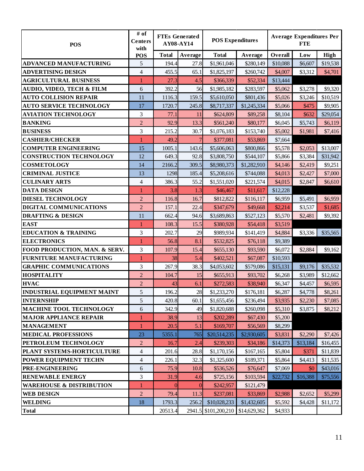| <b>POS</b>                           | # of<br>Centers<br>with | <b>FTEs Generated</b><br>AY08-AY14 |                | <b>POS Expenditures</b> |              | <b>Average Expenditures Per</b><br><b>FTE</b> |          |             |
|--------------------------------------|-------------------------|------------------------------------|----------------|-------------------------|--------------|-----------------------------------------------|----------|-------------|
|                                      | <b>POS</b>              | <b>Total</b>                       | Average        | <b>Total</b>            | Average      | Overall                                       | Low      | <b>High</b> |
| <b>ADVANCED MANUFACTURING</b>        | 5                       | 194.4                              | 27.8           | \$1,961,046             | \$280,149    | \$10,088                                      | \$6,607  | \$19,538    |
| <b>ADVERTISING DESIGN</b>            | $\overline{\mathbf{4}}$ | 455.5                              | 65.1           | \$1,825,197             | \$260,742    | \$4,007                                       | \$3,312  | \$4,701     |
| <b>AGRICULTURAL BUSINESS</b>         | $\mathbf{1}$            | 27.3                               | 4.5            | \$366,339               | \$52,334     | \$13,444                                      |          |             |
| <b>AUDIO, VIDEO, TECH &amp; FILM</b> | 6                       | 392.2                              | 56             | \$1,985,182             | \$283,597    | \$5,062                                       | \$3,278  | \$9,320     |
| <b>AUTO COLLISION REPAIR</b>         | 11                      | 1116.3                             | 159.5          | \$5,610,050             | \$801,436    | \$5,026                                       | \$3,246  | \$10,519    |
| <b>AUTO SERVICE TECHNOLOGY</b>       | 17                      | 1720.7                             | 245.8          | \$8,717,337             | \$1,245,334  | \$5,066                                       | \$475    | \$9,905     |
| <b>AVIATION TECHNOLOGY</b>           | 3                       | 77.1                               | 11             | \$624,809               | \$89,258     | \$8,104                                       | \$632    | \$29,054    |
| <b>BANKING</b>                       | $\boldsymbol{2}$        | 92.9                               | 13.3           | \$561,240               | \$80,177     | \$6,045                                       | \$5,743  | \$6,119     |
| <b>BUSINESS</b>                      | 3                       | 215.2                              | 30.7           | \$1,076,183             | \$153,740    | \$5,002                                       | \$1,981  | \$7,416     |
| <b>CASHIER/CHECKER</b>               | 1                       | 49.2                               |                | \$377,081               | \$53,869     | \$7,664                                       |          |             |
| <b>COMPUTER ENGINEERING</b>          | 15                      | 1005.1                             | 143.6          | \$5,606,063             | \$800,866    | \$5,578                                       | \$2,053  | \$13,007    |
| <b>CONSTRUCTION TECHNOLOGY</b>       | 12                      | 649.3                              | 92.8           | \$3,808,750             | \$544,107    | \$5,866                                       | \$3,384  | \$31,942    |
| <b>COSMETOLOGY</b>                   | 14                      | 2166.2                             | 309.5          | \$8,980,373             | \$1,282,910  | \$4,146                                       | \$2,419  | \$9,251     |
| <b>CRIMINAL JUSTICE</b>              | 13                      | 1298                               | 185.4          | \$5,208,616             | \$744,088    | \$4,013                                       | \$2,427  | \$7,000     |
| <b>CULINARY ARTS</b>                 | 4                       | 386.3                              | 55.2           | \$1,551,020             | \$221,574    | \$4,015                                       | \$2,847  | \$6,610     |
| <b>DATA DESIGN</b>                   | $\mathbf 1$             | 3.8                                | 1.3            | \$46,467                | \$11,617     | \$12,228                                      |          |             |
| <b>DIESEL TECHNOLOGY</b>             | $\overline{2}$          | 116.8                              | 16.7           | \$812,822               | \$116,117    | \$6,959                                       | \$5,491  | \$6,959     |
| DIGITAL COMMUNICATIONS               | $\overline{2}$          | 157.1                              | 22.4           | \$347,679               | \$49,668     | \$2,214                                       | \$3,537  | \$1,685     |
| <b>DRAFTING &amp; DESIGN</b>         | 11                      | 662.4                              | 94.6           | \$3,689,863             | \$527,123    | \$5,570                                       | \$2,481  | \$9,392     |
| <b>EAST</b>                          | $\mathbf{1}$            | 108.3                              | 15.5           | \$380,928               | \$54,418     | \$3,519                                       |          |             |
| <b>EDUCATION &amp; TRAINING</b>      | 3                       | 202.7                              | 29             | \$989,934               | \$141,419    | \$4,884                                       | \$3,336  | \$35,565    |
| <b>ELECTRONICS</b>                   | 1                       | 56.8                               | 8.1            | \$532,825               | \$76,118     | \$9,389                                       |          |             |
| FOOD PRODUCTION, MAN. & SERV.        | 3                       | 107.9                              | 15.4           | \$655,130               | \$93,590     | \$6,072                                       | \$2,884  | \$9,162     |
| FURNITURE MANUFACTURING              | $\mathbf{1}$            | 38                                 | 5.4            | \$402,521               | \$67,087     | \$10,593                                      |          |             |
| <b>GRAPHIC COMMUNICATIONS</b>        | 3                       | 267.9                              | 38.3           | \$4,053,602             | \$579,086    | \$15,131                                      | \$9,176  | \$35,532    |
| <b>HOSPITALITY</b>                   | $\overline{2}$          | 104.7                              | 15             | \$655,913               | \$93,702     | \$6,268                                       | \$3,989  | \$12,662    |
| <b>HVAC</b>                          | $\overline{c}$          | 43                                 | 6.1            | \$272,583               | \$38,940     | \$6,347                                       | \$4,457  | \$6,595     |
| <b>INDUSTRIAL EQUIPMENT MAINT</b>    | 5                       | 196.2                              | 28             | \$1,233,270             | \$176,181    | \$6,287                                       | \$4,778  | \$8,261     |
| <b>INTERNSHIP</b>                    | 5                       | 420.8                              | 60.1           | \$1,655,456             | \$236,494    | \$3,935                                       | \$2,230  | \$7,085     |
| <b>MACHINE TOOL TECHNOLOGY</b>       | 6                       | 342.9                              | 49             | \$1,820,688             | \$260,098    | \$5,310                                       | \$3,875  | \$8,212     |
| <b>MAJOR APPLIANCE REPAIR</b>        | $\mathbf{1}$            | 38.9                               | 13             | \$202,289               | \$67,430     | \$5,200                                       |          |             |
| <b>MANAGEMENT</b>                    | $\mathbf{1}$            | 20.5                               | 5.1            | \$169,707               | \$56,569     | \$8,299                                       |          |             |
| <b>MEDICAL PROFESSIONS</b>           | 23                      | 5355.1                             | 765            | \$20,514,235            | \$2,930,605  | \$3,831                                       | \$2,290  | \$7,426     |
| PETROLEUM TECHNOLOGY                 | $\overline{2}$          | 16.7                               | 2.4            | \$239,303               | \$34,186     | \$14,373                                      | \$13,184 | \$16,455    |
| PLANT SYSTEMS-HORTICULTURE           | 4                       | 201.6                              | 28.8           | \$1,170,156             | \$167,165    | \$5,804                                       | \$371    | \$11,839    |
| POWER EQUIPMENT TECHN                | 4                       | 226.1                              | 32.3           | \$1,325,600             | \$189,371    | \$5,864                                       | \$4,413  | \$11,535    |
| PRE-ENGINEERING                      | 6                       | 75.9                               | 10.8           | \$536,526               | \$76,647     | \$7,069                                       | \$0      | \$43,016    |
| <b>RENEWABLE ENERGY</b>              | 3                       | 31.9                               | 4.6            | \$725,156               | \$103,594    | \$22,732                                      | \$16,388 | \$75,556    |
| <b>WAREHOUSE &amp; DISTRIBUTION</b>  | $\mathbf{1}$            | 0                                  | $\overline{0}$ | \$242,957               | \$121,479    |                                               |          |             |
| <b>WEB DESIGN</b>                    | $\overline{c}$          | 79.4                               | 11.3           | \$237,081               | \$33,869     | \$2,988                                       | \$2,652  | \$5,299     |
| <b>WELDING</b>                       | 18                      | 1793.3                             | 256.2          | \$10,028,233            | \$1,432,605  | \$5,592                                       | \$4,428  | \$11,172    |
| <b>Total</b>                         |                         | 20513.4                            |                | 2941.5 \$101,200,210    | \$14,629,362 | \$4,933                                       |          |             |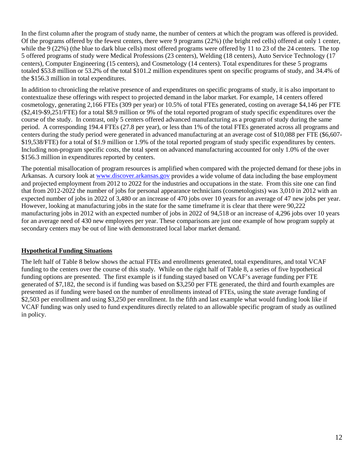In the first column after the program of study name, the number of centers at which the program was offered is provided. Of the programs offered by the fewest centers, there were 9 programs (22%) (the bright red cells) offered at only 1 center, while the 9 (22%) (the blue to dark blue cells) most offered programs were offered by 11 to 23 of the 24 centers. The top 5 offered programs of study were Medical Professions (23 centers), Welding (18 centers), Auto Service Technology (17 centers), Computer Engineering (15 centers), and Cosmetology (14 centers). Total expenditures for these 5 programs totaled \$53.8 million or 53.2% of the total \$101.2 million expenditures spent on specific programs of study, and 34.4% of the \$156.3 million in total expenditures.

In addition to chronicling the relative presence of and expenditures on specific programs of study, it is also important to contextualize these offerings with respect to projected demand in the labor market. For example, 14 centers offered cosmetology, generating 2,166 FTEs (309 per year) or 10.5% of total FTEs generated, costing on average \$4,146 per FTE (\$2,419-\$9,251/FTE) for a total \$8.9 million or 9% of the total reported program of study specific expenditures over the course of the study. In contrast, only 5 centers offered advanced manufacturing as a program of study during the same period. A corresponding 194.4 FTEs (27.8 per year), or less than 1% of the total FTEs generated across all programs and centers during the study period were generated in advanced manufacturing at an average cost of \$10,088 per FTE (\$6,607- \$19,538/FTE) for a total of \$1.9 million or 1.9% of the total reported program of study specific expenditures by centers. Including non-program specific costs, the total spent on advanced manufacturing accounted for only 1.0% of the over \$156.3 million in expenditures reported by centers.

The potential misallocation of program resources is amplified when compared with the projected demand for these jobs in Arkansas. A cursory look at [www.discover.arkansas.gov](http://www.discover.arkansas.gov/) provides a wide volume of data including the base employment and projected employment from 2012 to 2022 for the industries and occupations in the state. From this site one can find that from 2012-2022 the number of jobs for personal appearance technicians (cosmetologists) was 3,010 in 2012 with an expected number of jobs in 2022 of 3,480 or an increase of 470 jobs over 10 years for an average of 47 new jobs per year. However, looking at manufacturing jobs in the state for the same timeframe it is clear that there were 90,222 manufacturing jobs in 2012 with an expected number of jobs in 2022 of 94,518 or an increase of 4,296 jobs over 10 years for an average need of 430 new employees per year. These comparisons are just one example of how program supply at secondary centers may be out of line with demonstrated local labor market demand.

# **Hypothetical Funding Situations**

The left half of Table 8 below shows the actual FTEs and enrollments generated, total expenditures, and total VCAF funding to the centers over the course of this study. While on the right half of Table 8, a series of five hypothetical funding options are presented. The first example is if funding stayed based on VCAF's average funding per FTE generated of \$7,182, the second is if funding was based on \$3,250 per FTE generated, the third and fourth examples are presented as if funding were based on the number of enrollments instead of FTEs, using the state average funding of \$2,503 per enrollment and using \$3,250 per enrollment. In the fifth and last example what would funding look like if VCAF funding was only used to fund expenditures directly related to an allowable specific program of study as outlined in policy.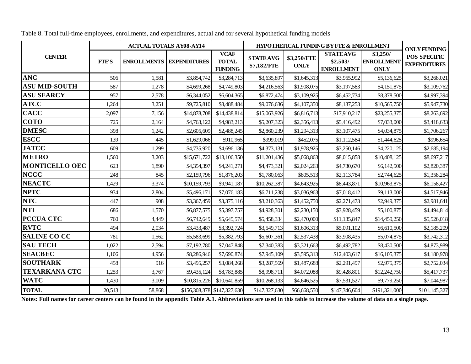| <b>VCAF</b><br><b>STATEAVG</b><br>\$3,250/<br><b>CENTER</b><br><b>STATEAVG</b><br>\$3,250/FTE<br><b>TOTAL</b><br><b>FTE'S</b><br><b>ENROLLMENTS</b><br><b>EXPENDITURES</b><br>\$2,503/<br><b>ENROLLMENT</b><br>\$7,182/FTE<br><b>ONLY</b><br><b>FUNDING</b><br><b>ENROLLMENT</b><br><b>ONLY</b><br><b>ANC</b><br>506<br>1,581<br>\$3,854,742<br>\$3,284,713<br>\$3,635,897<br>\$1,645,313<br>\$3,955,992<br>\$5,136,625<br><b>ASU MID-SOUTH</b><br>587<br>1,278<br>\$4,699,268<br>\$4,749,803<br>\$4,216,563<br>\$1,908,075<br>\$3,197,583<br>\$4,151,875<br><b>ASU SEARCY</b><br>957<br>2,578<br>\$6,344,052<br>\$6,604,365<br>\$6,872,474<br>\$3,109,925<br>\$6,452,734<br>\$8,378,500<br><b>ATCC</b><br>1,264<br>3,251<br>\$9,725,810<br>\$8,488,484<br>\$9,076,636<br>\$8,137,253<br>\$4,107,350<br>\$10,565,750<br><b>CACC</b><br>2,097<br>\$14,878,708<br>\$14,438,814<br>7,156<br>\$15,063,926<br>\$17,910,217<br>\$23,255,375<br>\$6,816,713<br><b>COTO</b><br>725<br>2,164<br>\$4,983,213<br>\$7,033,000<br>\$4,763,122<br>\$5,207,323<br>\$2,356,413<br>\$5,416,492<br><b>DMESC</b><br>398<br>1,242<br>\$2,488,245<br>\$4,034,875<br>\$2,605,609<br>\$2,860,239<br>\$1,294,313<br>\$3,107,475<br><b>ESCC</b><br>445<br>139<br>\$1,629,066<br>\$910,965<br>\$999,019<br>\$452,075<br>\$1,112,584<br>\$1,444,625<br><b>JATCC</b><br>609<br>1,299<br>\$4,735,920<br>\$4,696,136<br>\$4,373,131<br>\$1,978,925<br>\$3,250,146<br>\$4,220,125<br><b>METRO</b><br>1,560<br>3,203<br>\$15,671,722<br>\$13,106,350<br>\$11,201,436<br>\$5,068,863<br>\$8,015,858<br>\$10,408,125<br><b>MONTICELLO OEC</b><br>623<br>1,890<br>\$4,354,397<br>\$4,241,271<br>\$4,473,321<br>\$2,024,263<br>\$4,730,670<br>\$6,142,500<br><b>NCCC</b><br>\$1,876,203<br>248<br>845<br>\$2,159,796<br>\$1,780,063<br>\$805,513<br>\$2,113,784<br>\$2,744,625<br><b>NEACTC</b><br>1,429<br>3,374<br>\$9,941,187<br>\$10,159,793<br>\$10,262,387<br>\$4,643,925<br>\$8,443,871<br>\$10,963,875<br><b>NPTC</b><br>934<br>2,804<br>\$5,496,171<br>\$7,076,183<br>\$6,711,238<br>\$3,036,963<br>\$7,018,412<br>\$9,113,000<br><b>NTC</b><br>447<br>908<br>\$3,367,459<br>\$3,375,116<br>\$3,210,363<br>\$2,271,473<br>\$2,949,375<br>\$1,452,750<br><b>NTI</b><br>686<br>1,570<br>\$6,877,575<br>\$5,397,757<br>\$4,928,301<br>\$2,230,150<br>\$3,928,459<br>\$5,100,875<br><b>PCCUA CTC</b><br>4,449<br>760<br>\$6,742,649<br>\$5,645,574<br>\$5,458,334<br>\$2,470,000<br>\$11,135,847<br>\$14,459,250<br><b>RVTC</b><br>494<br>2,034<br>\$3,433,487<br>\$3,392,724<br>\$3,549,713<br>\$1,606,313<br>\$5,091,102<br>\$6,610,500<br><b>SALINE CO CC</b><br>781<br>1,562<br>\$5,583,699<br>\$5,382,793<br>\$2,537,438<br>\$3,908,435<br>\$5,074,875<br>\$5,607,361<br><b>SAU TECH</b><br>1,022<br>2,594<br>\$7,192,780<br>\$7,047,848<br>\$7,340,383<br>\$3,321,663<br>\$6,492,782<br>\$8,430,500 |                |       |       | <b>ACTUAL TOTALS AY08-AY14</b> |             |             | HYPOTHETICAL FUNDING BY FTE & ENROLLMENT | <b>ONLY FUNDING</b> |              |                                     |
|----------------------------------------------------------------------------------------------------------------------------------------------------------------------------------------------------------------------------------------------------------------------------------------------------------------------------------------------------------------------------------------------------------------------------------------------------------------------------------------------------------------------------------------------------------------------------------------------------------------------------------------------------------------------------------------------------------------------------------------------------------------------------------------------------------------------------------------------------------------------------------------------------------------------------------------------------------------------------------------------------------------------------------------------------------------------------------------------------------------------------------------------------------------------------------------------------------------------------------------------------------------------------------------------------------------------------------------------------------------------------------------------------------------------------------------------------------------------------------------------------------------------------------------------------------------------------------------------------------------------------------------------------------------------------------------------------------------------------------------------------------------------------------------------------------------------------------------------------------------------------------------------------------------------------------------------------------------------------------------------------------------------------------------------------------------------------------------------------------------------------------------------------------------------------------------------------------------------------------------------------------------------------------------------------------------------------------------------------------------------------------------------------------------------------------------------------------------------------------------------------------------------------------------------------------------------------------------------------------------------------------------------------------------------------------------------------------------------------------------------------------------------------------------------------------------------------------------------------------------------------|----------------|-------|-------|--------------------------------|-------------|-------------|------------------------------------------|---------------------|--------------|-------------------------------------|
|                                                                                                                                                                                                                                                                                                                                                                                                                                                                                                                                                                                                                                                                                                                                                                                                                                                                                                                                                                                                                                                                                                                                                                                                                                                                                                                                                                                                                                                                                                                                                                                                                                                                                                                                                                                                                                                                                                                                                                                                                                                                                                                                                                                                                                                                                                                                                                                                                                                                                                                                                                                                                                                                                                                                                                                                                                                                            |                |       |       |                                |             |             |                                          |                     |              | POS SPECIFIC<br><b>EXPENDITURES</b> |
|                                                                                                                                                                                                                                                                                                                                                                                                                                                                                                                                                                                                                                                                                                                                                                                                                                                                                                                                                                                                                                                                                                                                                                                                                                                                                                                                                                                                                                                                                                                                                                                                                                                                                                                                                                                                                                                                                                                                                                                                                                                                                                                                                                                                                                                                                                                                                                                                                                                                                                                                                                                                                                                                                                                                                                                                                                                                            |                |       |       |                                |             |             |                                          |                     |              | \$3,268,021                         |
|                                                                                                                                                                                                                                                                                                                                                                                                                                                                                                                                                                                                                                                                                                                                                                                                                                                                                                                                                                                                                                                                                                                                                                                                                                                                                                                                                                                                                                                                                                                                                                                                                                                                                                                                                                                                                                                                                                                                                                                                                                                                                                                                                                                                                                                                                                                                                                                                                                                                                                                                                                                                                                                                                                                                                                                                                                                                            |                |       |       |                                |             |             |                                          |                     |              | \$3,109,762                         |
|                                                                                                                                                                                                                                                                                                                                                                                                                                                                                                                                                                                                                                                                                                                                                                                                                                                                                                                                                                                                                                                                                                                                                                                                                                                                                                                                                                                                                                                                                                                                                                                                                                                                                                                                                                                                                                                                                                                                                                                                                                                                                                                                                                                                                                                                                                                                                                                                                                                                                                                                                                                                                                                                                                                                                                                                                                                                            |                |       |       |                                |             |             |                                          |                     |              | \$4,997,394                         |
|                                                                                                                                                                                                                                                                                                                                                                                                                                                                                                                                                                                                                                                                                                                                                                                                                                                                                                                                                                                                                                                                                                                                                                                                                                                                                                                                                                                                                                                                                                                                                                                                                                                                                                                                                                                                                                                                                                                                                                                                                                                                                                                                                                                                                                                                                                                                                                                                                                                                                                                                                                                                                                                                                                                                                                                                                                                                            |                |       |       |                                |             |             |                                          |                     |              | \$5,947,730                         |
|                                                                                                                                                                                                                                                                                                                                                                                                                                                                                                                                                                                                                                                                                                                                                                                                                                                                                                                                                                                                                                                                                                                                                                                                                                                                                                                                                                                                                                                                                                                                                                                                                                                                                                                                                                                                                                                                                                                                                                                                                                                                                                                                                                                                                                                                                                                                                                                                                                                                                                                                                                                                                                                                                                                                                                                                                                                                            |                |       |       |                                |             |             |                                          |                     |              | \$8,263,692                         |
|                                                                                                                                                                                                                                                                                                                                                                                                                                                                                                                                                                                                                                                                                                                                                                                                                                                                                                                                                                                                                                                                                                                                                                                                                                                                                                                                                                                                                                                                                                                                                                                                                                                                                                                                                                                                                                                                                                                                                                                                                                                                                                                                                                                                                                                                                                                                                                                                                                                                                                                                                                                                                                                                                                                                                                                                                                                                            |                |       |       |                                |             |             |                                          |                     |              | \$3,418,633                         |
|                                                                                                                                                                                                                                                                                                                                                                                                                                                                                                                                                                                                                                                                                                                                                                                                                                                                                                                                                                                                                                                                                                                                                                                                                                                                                                                                                                                                                                                                                                                                                                                                                                                                                                                                                                                                                                                                                                                                                                                                                                                                                                                                                                                                                                                                                                                                                                                                                                                                                                                                                                                                                                                                                                                                                                                                                                                                            |                |       |       |                                |             |             |                                          |                     |              | \$1,706,267                         |
|                                                                                                                                                                                                                                                                                                                                                                                                                                                                                                                                                                                                                                                                                                                                                                                                                                                                                                                                                                                                                                                                                                                                                                                                                                                                                                                                                                                                                                                                                                                                                                                                                                                                                                                                                                                                                                                                                                                                                                                                                                                                                                                                                                                                                                                                                                                                                                                                                                                                                                                                                                                                                                                                                                                                                                                                                                                                            |                |       |       |                                |             |             |                                          |                     |              | \$996,654                           |
|                                                                                                                                                                                                                                                                                                                                                                                                                                                                                                                                                                                                                                                                                                                                                                                                                                                                                                                                                                                                                                                                                                                                                                                                                                                                                                                                                                                                                                                                                                                                                                                                                                                                                                                                                                                                                                                                                                                                                                                                                                                                                                                                                                                                                                                                                                                                                                                                                                                                                                                                                                                                                                                                                                                                                                                                                                                                            |                |       |       |                                |             |             |                                          |                     |              | \$2,685,194                         |
|                                                                                                                                                                                                                                                                                                                                                                                                                                                                                                                                                                                                                                                                                                                                                                                                                                                                                                                                                                                                                                                                                                                                                                                                                                                                                                                                                                                                                                                                                                                                                                                                                                                                                                                                                                                                                                                                                                                                                                                                                                                                                                                                                                                                                                                                                                                                                                                                                                                                                                                                                                                                                                                                                                                                                                                                                                                                            |                |       |       |                                |             |             |                                          |                     |              | \$8,697,217                         |
|                                                                                                                                                                                                                                                                                                                                                                                                                                                                                                                                                                                                                                                                                                                                                                                                                                                                                                                                                                                                                                                                                                                                                                                                                                                                                                                                                                                                                                                                                                                                                                                                                                                                                                                                                                                                                                                                                                                                                                                                                                                                                                                                                                                                                                                                                                                                                                                                                                                                                                                                                                                                                                                                                                                                                                                                                                                                            |                |       |       |                                |             |             |                                          |                     |              | \$2,820,387                         |
|                                                                                                                                                                                                                                                                                                                                                                                                                                                                                                                                                                                                                                                                                                                                                                                                                                                                                                                                                                                                                                                                                                                                                                                                                                                                                                                                                                                                                                                                                                                                                                                                                                                                                                                                                                                                                                                                                                                                                                                                                                                                                                                                                                                                                                                                                                                                                                                                                                                                                                                                                                                                                                                                                                                                                                                                                                                                            |                |       |       |                                |             |             |                                          |                     |              | \$1,358,284                         |
|                                                                                                                                                                                                                                                                                                                                                                                                                                                                                                                                                                                                                                                                                                                                                                                                                                                                                                                                                                                                                                                                                                                                                                                                                                                                                                                                                                                                                                                                                                                                                                                                                                                                                                                                                                                                                                                                                                                                                                                                                                                                                                                                                                                                                                                                                                                                                                                                                                                                                                                                                                                                                                                                                                                                                                                                                                                                            |                |       |       |                                |             |             |                                          |                     |              | \$6,158,427                         |
|                                                                                                                                                                                                                                                                                                                                                                                                                                                                                                                                                                                                                                                                                                                                                                                                                                                                                                                                                                                                                                                                                                                                                                                                                                                                                                                                                                                                                                                                                                                                                                                                                                                                                                                                                                                                                                                                                                                                                                                                                                                                                                                                                                                                                                                                                                                                                                                                                                                                                                                                                                                                                                                                                                                                                                                                                                                                            |                |       |       |                                |             |             |                                          |                     |              | \$4,517,946                         |
|                                                                                                                                                                                                                                                                                                                                                                                                                                                                                                                                                                                                                                                                                                                                                                                                                                                                                                                                                                                                                                                                                                                                                                                                                                                                                                                                                                                                                                                                                                                                                                                                                                                                                                                                                                                                                                                                                                                                                                                                                                                                                                                                                                                                                                                                                                                                                                                                                                                                                                                                                                                                                                                                                                                                                                                                                                                                            |                |       |       |                                |             |             |                                          |                     |              | \$2,981,641                         |
|                                                                                                                                                                                                                                                                                                                                                                                                                                                                                                                                                                                                                                                                                                                                                                                                                                                                                                                                                                                                                                                                                                                                                                                                                                                                                                                                                                                                                                                                                                                                                                                                                                                                                                                                                                                                                                                                                                                                                                                                                                                                                                                                                                                                                                                                                                                                                                                                                                                                                                                                                                                                                                                                                                                                                                                                                                                                            |                |       |       |                                |             |             |                                          |                     |              | \$4,494,814                         |
|                                                                                                                                                                                                                                                                                                                                                                                                                                                                                                                                                                                                                                                                                                                                                                                                                                                                                                                                                                                                                                                                                                                                                                                                                                                                                                                                                                                                                                                                                                                                                                                                                                                                                                                                                                                                                                                                                                                                                                                                                                                                                                                                                                                                                                                                                                                                                                                                                                                                                                                                                                                                                                                                                                                                                                                                                                                                            |                |       |       |                                |             |             |                                          |                     |              | \$5,526,018                         |
|                                                                                                                                                                                                                                                                                                                                                                                                                                                                                                                                                                                                                                                                                                                                                                                                                                                                                                                                                                                                                                                                                                                                                                                                                                                                                                                                                                                                                                                                                                                                                                                                                                                                                                                                                                                                                                                                                                                                                                                                                                                                                                                                                                                                                                                                                                                                                                                                                                                                                                                                                                                                                                                                                                                                                                                                                                                                            |                |       |       |                                |             |             |                                          |                     |              | \$2,185,209                         |
|                                                                                                                                                                                                                                                                                                                                                                                                                                                                                                                                                                                                                                                                                                                                                                                                                                                                                                                                                                                                                                                                                                                                                                                                                                                                                                                                                                                                                                                                                                                                                                                                                                                                                                                                                                                                                                                                                                                                                                                                                                                                                                                                                                                                                                                                                                                                                                                                                                                                                                                                                                                                                                                                                                                                                                                                                                                                            |                |       |       |                                |             |             |                                          |                     |              | \$3,742,312                         |
|                                                                                                                                                                                                                                                                                                                                                                                                                                                                                                                                                                                                                                                                                                                                                                                                                                                                                                                                                                                                                                                                                                                                                                                                                                                                                                                                                                                                                                                                                                                                                                                                                                                                                                                                                                                                                                                                                                                                                                                                                                                                                                                                                                                                                                                                                                                                                                                                                                                                                                                                                                                                                                                                                                                                                                                                                                                                            |                |       |       |                                |             |             |                                          |                     |              | \$4,873,989                         |
|                                                                                                                                                                                                                                                                                                                                                                                                                                                                                                                                                                                                                                                                                                                                                                                                                                                                                                                                                                                                                                                                                                                                                                                                                                                                                                                                                                                                                                                                                                                                                                                                                                                                                                                                                                                                                                                                                                                                                                                                                                                                                                                                                                                                                                                                                                                                                                                                                                                                                                                                                                                                                                                                                                                                                                                                                                                                            | <b>SEACBEC</b> | 1,106 | 4,956 | \$8,286,946                    | \$7,690,874 | \$7,945,109 | \$3,595,313                              | \$12,403,617        | \$16,105,375 | \$4,180,978                         |
| <b>SOUTHARK</b><br>\$2,975,375<br>458<br>916<br>\$3,495,257<br>\$3,084,268<br>\$1,487,688<br>\$2,291,497<br>\$3,287,569                                                                                                                                                                                                                                                                                                                                                                                                                                                                                                                                                                                                                                                                                                                                                                                                                                                                                                                                                                                                                                                                                                                                                                                                                                                                                                                                                                                                                                                                                                                                                                                                                                                                                                                                                                                                                                                                                                                                                                                                                                                                                                                                                                                                                                                                                                                                                                                                                                                                                                                                                                                                                                                                                                                                                    |                |       |       |                                |             |             |                                          |                     |              | \$2,752,034                         |
| <b>TEXARKANA CTC</b><br>1,253<br>3,767<br>\$8,783,885<br>\$9,435,124<br>\$8,998,711<br>\$4,072,088<br>\$9,428,801<br>\$12,242,750                                                                                                                                                                                                                                                                                                                                                                                                                                                                                                                                                                                                                                                                                                                                                                                                                                                                                                                                                                                                                                                                                                                                                                                                                                                                                                                                                                                                                                                                                                                                                                                                                                                                                                                                                                                                                                                                                                                                                                                                                                                                                                                                                                                                                                                                                                                                                                                                                                                                                                                                                                                                                                                                                                                                          |                |       |       |                                |             |             |                                          |                     |              | \$5,417,737                         |
| <b>WATC</b><br>1,430<br>3,009<br>\$10,815,226<br>\$10,640,859<br>\$10,268,133<br>\$7,531,527<br>\$9,779,250<br>\$4,646,525                                                                                                                                                                                                                                                                                                                                                                                                                                                                                                                                                                                                                                                                                                                                                                                                                                                                                                                                                                                                                                                                                                                                                                                                                                                                                                                                                                                                                                                                                                                                                                                                                                                                                                                                                                                                                                                                                                                                                                                                                                                                                                                                                                                                                                                                                                                                                                                                                                                                                                                                                                                                                                                                                                                                                 |                |       |       |                                |             |             |                                          |                     |              | \$7,044,987                         |
| <b>TOTAL</b><br>20,513<br>58,868<br>\$156,308,378 \$147,327,630<br>\$147,327,630<br>\$66,668,550<br>\$147,346,604<br>\$191,321,000<br>Notes: Full names for career centers can be found in the appendix Table A.1. Abbreviations are used in this table to increase the volume of data on a single page.                                                                                                                                                                                                                                                                                                                                                                                                                                                                                                                                                                                                                                                                                                                                                                                                                                                                                                                                                                                                                                                                                                                                                                                                                                                                                                                                                                                                                                                                                                                                                                                                                                                                                                                                                                                                                                                                                                                                                                                                                                                                                                                                                                                                                                                                                                                                                                                                                                                                                                                                                                   |                |       |       |                                |             |             |                                          |                     |              | \$101,145,327                       |

Table 8. Total full-time employees, enrollments, and expenditures, actual and for several hypothetical funding models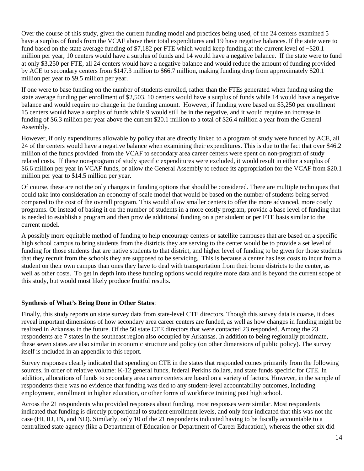Over the course of this study, given the current funding model and practices being used, of the 24 centers examined 5 have a surplus of funds from the VCAF above their total expenditures and 19 have negative balances. If the state were to fund based on the state average funding of \$7,182 per FTE which would keep funding at the current level of ~\$20.1 million per year, 10 centers would have a surplus of funds and 14 would have a negative balance. If the state were to fund at only \$3,250 per FTE, all 24 centers would have a negative balance and would reduce the amount of funding provided by ACE to secondary centers from \$147.3 million to \$66.7 million, making funding drop from approximately \$20.1 million per year to \$9.5 million per year.

If one were to base funding on the number of students enrolled, rather than the FTEs generated when funding using the state average funding per enrollment of \$2,503, 10 centers would have a surplus of funds while 14 would have a negative balance and would require no change in the funding amount. However, if funding were based on \$3,250 per enrollment 15 centers would have a surplus of funds while 9 would still be in the negative, and it would require an increase in funding of \$6.3 million per year above the current \$20.1 million to a total of \$26.4 million a year from the General Assembly.

However, if only expenditures allowable by policy that are directly linked to a program of study were funded by ACE, all 24 of the centers would have a negative balance when examining their expenditures. This is due to the fact that over \$46.2 million of the funds provided from the VCAF to secondary area career centers were spent on non-program of study related costs. If these non-program of study specific expenditures were excluded, it would result in either a surplus of \$6.6 million per year in VCAF funds, or allow the General Assembly to reduce its appropriation for the VCAF from \$20.1 million per year to \$14.5 million per year.

Of course, these are not the only changes in funding options that should be considered. There are multiple techniques that could take into consideration an economy of scale model that would be based on the number of students being served compared to the cost of the overall program. This would allow smaller centers to offer the more advanced, more costly programs. Or instead of basing it on the number of students in a more costly program, provide a base level of funding that is needed to establish a program and then provide additional funding on a per student or per FTE basis similar to the current model.

A possibly more equitable method of funding to help encourage centers or satellite campuses that are based on a specific high school campus to bring students from the districts they are serving to the center would be to provide a set level of funding for those students that are native students to that district, and higher level of funding to be given for those students that they recruit from the schools they are supposed to be servicing. This is because a center has less costs to incur from a student on their own campus than ones they have to deal with transportation from their home districts to the center, as well as other costs. To get in depth into these funding options would require more data and is beyond the current scope of this study, but would most likely produce fruitful results.

# **Synthesis of What's Being Done in Other States**:

Finally, this study reports on state survey data from state-level CTE directors. Though this survey data is coarse, it does reveal important dimensions of how secondary area career centers are funded, as well as how changes in funding might be realized in Arkansas in the future. Of the 50 state CTE directors that were contacted 23 responded. Among the 23 respondents are 7 states in the southeast region also occupied by Arkansas. In addition to being regionally proximate, these seven states are also similar in economic structure and policy (on other dimensions of public policy). The survey itself is included in an appendix to this report.

Survey responses clearly indicated that spending on CTE in the states that responded comes primarily from the following sources, in order of relative volume: K-12 general funds, federal Perkins dollars, and state funds specific for CTE. In addition, allocations of funds to secondary area career centers are based on a variety of factors. However, in the sample of respondents there was no evidence that funding was tied to any student-level accountability outcomes, including employment, enrollment in higher education, or other forms of workforce training post high school.

Across the 21 respondents who provided responses about funding, most responses were similar. Most respondents indicated that funding is directly proportional to student enrollment levels, and only four indicated that this was not the case (HI, ID, IN, and ND). Similarly, only 10 of the 21 respondents indicated having to be fiscally accountable to a centralized state agency (like a Department of Education or Department of Career Education), whereas the other six did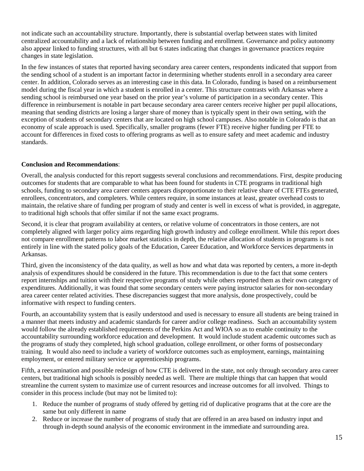not indicate such an accountability structure. Importantly, there is substantial overlap between states with limited centralized accountability and a lack of relationship between funding and enrollment. Governance and policy autonomy also appear linked to funding structures, with all but 6 states indicating that changes in governance practices require changes in state legislation.

In the few instances of states that reported having secondary area career centers, respondents indicated that support from the sending school of a student is an important factor in determining whether students enroll in a secondary area career center. In addition, Colorado serves as an interesting case in this data. In Colorado, funding is based on a reimbursement model during the fiscal year in which a student is enrolled in a center. This structure contrasts with Arkansas where a sending school is reimbursed one year based on the prior year's volume of participation in a secondary center. This difference in reimbursement is notable in part because secondary area career centers receive higher per pupil allocations, meaning that sending districts are losing a larger share of money than is typically spent in their own setting, with the exception of students of secondary centers that are located on high school campuses. Also notable in Colorado is that an economy of scale approach is used. Specifically, smaller programs (fewer FTE) receive higher funding per FTE to account for differences in fixed costs to offering programs as well as to ensure safety and meet academic and industry standards.

#### **Conclusion and Recommendations**:

Overall, the analysis conducted for this report suggests several conclusions and recommendations. First, despite producing outcomes for students that are comparable to what has been found for students in CTE programs in traditional high schools, funding to secondary area career centers appears disproportionate to their relative share of CTE FTEs generated, enrollees, concentrators, and completers. While centers require, in some instances at least, greater overhead costs to maintain, the relative share of funding per program of study and center is well in excess of what is provided, in aggregate, to traditional high schools that offer similar if not the same exact programs.

Second, it is clear that program availability at centers, or relative volume of concentrators in those centers, are not completely aligned with larger policy aims regarding high growth industry and college enrollment. While this report does not compare enrollment patterns to labor market statistics in depth, the relative allocation of students in programs is not entirely in line with the stated policy goals of the Education, Career Education, and Workforce Services departments in Arkansas.

Third, given the inconsistency of the data quality, as well as how and what data was reported by centers, a more in-depth analysis of expenditures should be considered in the future. This recommendation is due to the fact that some centers report internships and tuition with their respective programs of study while others reported them as their own category of expenditures. Additionally, it was found that some secondary centers were paying instructor salaries for non-secondary area career center related activities. These discrepancies suggest that more analysis, done prospectively, could be informative with respect to funding centers.

Fourth, an accountability system that is easily understood and used is necessary to ensure all students are being trained in a manner that meets industry and academic standards for career and/or college readiness. Such an accountability system would follow the already established requirements of the Perkins Act and WIOA so as to enable continuity to the accountability surrounding workforce education and development. It would include student academic outcomes such as the programs of study they completed, high school graduation, college enrollment, or other forms of postsecondary training. It would also need to include a variety of workforce outcomes such as employment, earnings, maintaining employment, or entered military service or apprenticeship programs.

Fifth, a reexamination and possible redesign of how CTE is delivered in the state, not only through secondary area career centers, but traditional high schools is possibly needed as well. There are multiple things that can happen that would streamline the current system to maximize use of current resources and increase outcomes for all involved. Things to consider in this process include (but may not be limited to):

- 1. Reduce the number of programs of study offered by getting rid of duplicative programs that at the core are the same but only different in name
- 2. Reduce or increase the number of programs of study that are offered in an area based on industry input and through in-depth sound analysis of the economic environment in the immediate and surrounding area.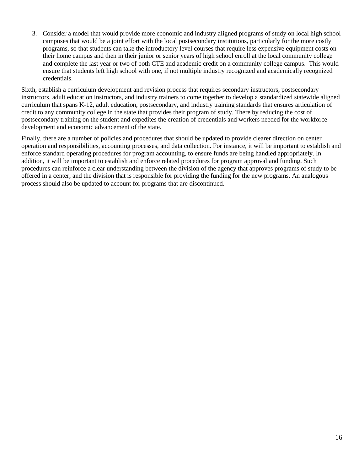3. Consider a model that would provide more economic and industry aligned programs of study on local high school campuses that would be a joint effort with the local postsecondary institutions, particularly for the more costly programs, so that students can take the introductory level courses that require less expensive equipment costs on their home campus and then in their junior or senior years of high school enroll at the local community college and complete the last year or two of both CTE and academic credit on a community college campus. This would ensure that students left high school with one, if not multiple industry recognized and academically recognized credentials.

Sixth, establish a curriculum development and revision process that requires secondary instructors, postsecondary instructors, adult education instructors, and industry trainers to come together to develop a standardized statewide aligned curriculum that spans K-12, adult education, postsecondary, and industry training standards that ensures articulation of credit to any community college in the state that provides their program of study. There by reducing the cost of postsecondary training on the student and expedites the creation of credentials and workers needed for the workforce development and economic advancement of the state.

Finally, there are a number of policies and procedures that should be updated to provide clearer direction on center operation and responsibilities, accounting processes, and data collection. For instance, it will be important to establish and enforce standard operating procedures for program accounting, to ensure funds are being handled appropriately. In addition, it will be important to establish and enforce related procedures for program approval and funding. Such procedures can reinforce a clear understanding between the division of the agency that approves programs of study to be offered in a center, and the division that is responsible for providing the funding for the new programs. An analogous process should also be updated to account for programs that are discontinued.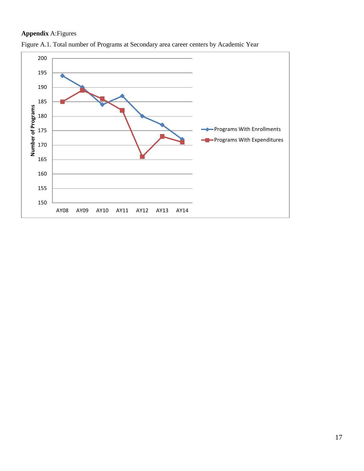# **Appendix** A:Figures



Figure A.1. Total number of Programs at Secondary area career centers by Academic Year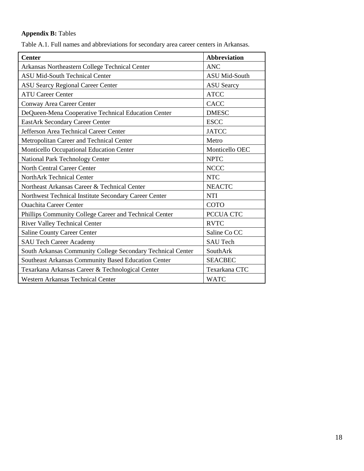# **Appendix B:** Tables

Table A.1. Full names and abbreviations for secondary area career centers in Arkansas.

| <b>Center</b>                                               | <b>Abbreviation</b>  |  |  |
|-------------------------------------------------------------|----------------------|--|--|
| Arkansas Northeastern College Technical Center              | <b>ANC</b>           |  |  |
| <b>ASU Mid-South Technical Center</b>                       | <b>ASU Mid-South</b> |  |  |
| <b>ASU Searcy Regional Career Center</b>                    | <b>ASU</b> Searcy    |  |  |
| <b>ATU Career Center</b>                                    | <b>ATCC</b>          |  |  |
| Conway Area Career Center                                   | <b>CACC</b>          |  |  |
| DeQueen-Mena Cooperative Technical Education Center         | <b>DMESC</b>         |  |  |
| <b>EastArk Secondary Career Center</b>                      | <b>ESCC</b>          |  |  |
| Jefferson Area Technical Career Center                      | <b>JATCC</b>         |  |  |
| Metropolitan Career and Technical Center                    | Metro                |  |  |
| Monticello Occupational Education Center                    | Monticello OEC       |  |  |
| National Park Technology Center                             | <b>NPTC</b>          |  |  |
| North Central Career Center                                 | <b>NCCC</b>          |  |  |
| NorthArk Technical Center                                   | <b>NTC</b>           |  |  |
| Northeast Arkansas Career & Technical Center                | <b>NEACTC</b>        |  |  |
| Northwest Technical Institute Secondary Career Center       | <b>NTI</b>           |  |  |
| <b>Ouachita Career Center</b>                               | <b>COTO</b>          |  |  |
| Phillips Community College Career and Technical Center      | PCCUA CTC            |  |  |
| <b>River Valley Technical Center</b>                        | <b>RVTC</b>          |  |  |
| <b>Saline County Career Center</b>                          | Saline Co CC         |  |  |
| <b>SAU Tech Career Academy</b>                              | <b>SAU Tech</b>      |  |  |
| South Arkansas Community College Secondary Technical Center | SouthArk             |  |  |
| Southeast Arkansas Community Based Education Center         | <b>SEACBEC</b>       |  |  |
| Texarkana Arkansas Career & Technological Center            | Texarkana CTC        |  |  |
| <b>Western Arkansas Technical Center</b>                    | <b>WATC</b>          |  |  |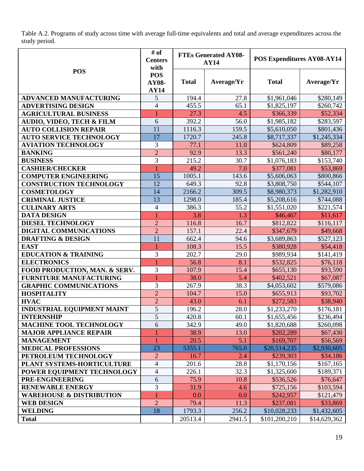Table A.2. Programs of study across time with average full-time equivalents and total and average expenditures across the study period.

|                                      | # of<br><b>Centers</b><br>with            |              | <b>FTEs Generated AY08-</b><br>AY14 | POS Expenditures AY08-AY14 |              |
|--------------------------------------|-------------------------------------------|--------------|-------------------------------------|----------------------------|--------------|
| <b>POS</b>                           | <b>POS</b><br><b>AY08-</b><br><b>AY14</b> | <b>Total</b> | Average/Yr                          | <b>Total</b>               | Average/Yr   |
| <b>ADVANCED MANUFACTURING</b>        | 5                                         | 194.4        | 27.8                                | \$1,961,046                | \$280,149    |
| <b>ADVERTISING DESIGN</b>            | $\overline{4}$                            | 455.5        | 65.1                                | \$1,825,197                | \$260,742    |
| <b>AGRICULTURAL BUSINESS</b>         |                                           | 27.3         | 4.5                                 | \$366,339                  | \$52,334     |
| <b>AUDIO, VIDEO, TECH &amp; FILM</b> | 6                                         | 392.2        | 56.0                                | \$1,985,182                | \$283,597    |
| <b>AUTO COLLISION REPAIR</b>         | 11                                        | 1116.3       | 159.5                               | \$5,610,050                | \$801,436    |
| <b>AUTO SERVICE TECHNOLOGY</b>       | 17                                        | 1720.7       | 245.8                               | \$8,717,337                | \$1,245,334  |
| <b>AVIATION TECHNOLOGY</b>           | 3                                         | 77.1         | 11.0                                | \$624,809                  | \$89,258     |
| <b>BANKING</b>                       | $\overline{2}$                            | 92.9         | 13.3                                | \$561,240                  | \$80,177     |
| <b>BUSINESS</b>                      | 3                                         | 215.2        | 30.7                                | \$1,076,183                | \$153,740    |
| <b>CASHIER/CHECKER</b>               |                                           | 49.2         | 7.0                                 | \$377,081                  | \$53,869     |
| <b>COMPUTER ENGINEERING</b>          | 15                                        | 1005.1       | 143.6                               | \$5,606,063                | \$800,866    |
| <b>CONSTRUCTION TECHNOLOGY</b>       | 12                                        | 649.3        | 92.8                                | \$3,808,750                | \$544,107    |
| <b>COSMETOLOGY</b>                   | 14                                        | 2166.2       | 309.5                               | \$8,980,373                | \$1,282,910  |
| <b>CRIMINAL JUSTICE</b>              | 13                                        | 1298.0       | 185.4                               | \$5,208,616                | \$744,088    |
| <b>CULINARY ARTS</b>                 | $\overline{4}$                            | 386.3        | 55.2                                | \$1,551,020                | \$221,574    |
| <b>DATA DESIGN</b>                   | 1                                         | 3.8          | 1.3                                 | \$46,467                   | \$11,617     |
| <b>DIESEL TECHNOLOGY</b>             | $\overline{2}$                            | 116.8        | 16.7                                | \$812,822                  | \$116,117    |
| DIGITAL COMMUNICATIONS               | $\overline{2}$                            | 157.1        | 22.4                                | \$347,679                  | \$49,668     |
| <b>DRAFTING &amp; DESIGN</b>         | 11                                        | 662.4        | 94.6                                | \$3,689,863                | \$527,123    |
| <b>EAST</b>                          | 1                                         | 108.3        | 15.5                                | \$380,928                  | \$54,418     |
| <b>EDUCATION &amp; TRAINING</b>      | 3                                         | 202.7        | 29.0                                | \$989,934                  | \$141,419    |
| <b>ELECTRONICS</b>                   | 1                                         | 56.8         | 8.1                                 | \$532,825                  | \$76,118     |
| FOOD PRODUCTION, MAN. & SERV.        | 3                                         | 107.9        | 15.4                                | \$655,130                  | \$93,590     |
| <b>FURNITURE MANUFACTURING</b>       |                                           | 38.0         | 5.4                                 | \$402,521                  | \$67,087     |
| <b>GRAPHIC COMMUNICATIONS</b>        | 3                                         | 267.9        | 38.3                                | \$4,053,602                | \$579,086    |
| <b>HOSPITALITY</b>                   | $\overline{2}$                            | 104.7        | 15.0                                | \$655,913                  | \$93,702     |
| <b>HVAC</b>                          | $\overline{2}$                            | 43.0         | 6.1                                 | \$272,583                  | \$38,940     |
| <b>INDUSTRIAL EQUIPMENT MAINT</b>    | 5                                         | 196.2        | 28.0                                | \$1,233,270                | \$176,181    |
| <b>INTERNSHIP</b>                    | 5                                         | 420.8        | 60.1                                | \$1,655,456                | \$236,494    |
| <b>MACHINE TOOL TECHNOLOGY</b>       | 6                                         | 342.9        | 49.0                                | \$1,820,688                | \$260,098    |
| <b>MAJOR APPLIANCE REPAIR</b>        |                                           | 38.9         | 13.0                                | \$202,289                  | \$67,430     |
| <b>MANAGEMENT</b>                    |                                           | 20.5         | 5.1                                 | \$169,707                  | \$56,569     |
| <b>MEDICAL PROFESSIONS</b>           | 23                                        | 5355.1       | 765.0                               | \$20,514,235               | \$2,930,605  |
| PETROLEUM TECHNOLOGY                 | $\overline{2}$                            | 16.7         | 2.4                                 | \$239,303                  | \$34,186     |
| PLANT SYSTEMS-HORTICULTURE           | $\overline{4}$                            | 201.6        | 28.8                                | \$1,170,156                | \$167,165    |
| POWER EQUIPMENT TECHNOLOGY           | $\overline{\mathcal{L}}$                  | 226.1        | 32.3                                | \$1,325,600                | \$189,371    |
| PRE-ENGINEERING                      | 6                                         | 75.9         | 10.8                                | \$536,526                  | \$76,647     |
| <b>RENEWABLE ENERGY</b>              | 3                                         | 31.9         | 4.6                                 | \$725,156                  | \$103,594    |
| <b>WAREHOUSE &amp; DISTRIBUTION</b>  |                                           | 0.0          | 0.0                                 | \$242,957                  | \$121,479    |
| <b>WEB DESIGN</b>                    | $\overline{2}$                            | 79.4         | 11.3                                | \$237,081                  | \$33,869     |
| <b>WELDING</b>                       | 18                                        | 1793.3       | 256.2                               | \$10,028,233               | \$1,432,605  |
| <b>Total</b>                         |                                           | 20513.4      | 2941.5                              | \$101,200,210              | \$14,629,362 |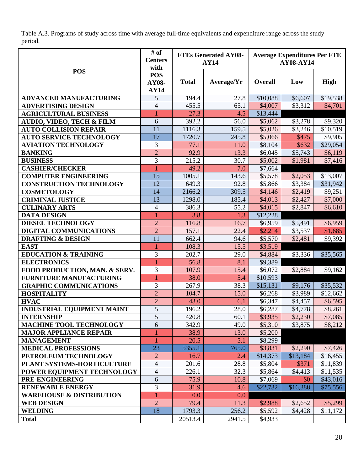Table A.3. Programs of study across time with average full-time equivalents and expenditure range across the study period.

|                                      | # of<br><b>Centers</b><br>with            |              | <b>FTEs Generated AY08-</b><br><b>AY14</b> | <b>Average Expenditures Per FTE</b><br><b>AY08-AY14</b> |          |          |  |
|--------------------------------------|-------------------------------------------|--------------|--------------------------------------------|---------------------------------------------------------|----------|----------|--|
| <b>POS</b>                           | <b>POS</b><br><b>AY08-</b><br><b>AY14</b> | <b>Total</b> | Average/Yr                                 | Overall                                                 | Low      | High     |  |
| <b>ADVANCED MANUFACTURING</b>        | 5                                         | 194.4        | 27.8                                       | \$10,088                                                | \$6,607  | \$19,538 |  |
| <b>ADVERTISING DESIGN</b>            | $\overline{4}$                            | 455.5        | 65.1                                       | \$4,007                                                 | \$3,312  | \$4,701  |  |
| <b>AGRICULTURAL BUSINESS</b>         | 1                                         | 27.3         | 4.5                                        | \$13,444                                                |          |          |  |
| <b>AUDIO, VIDEO, TECH &amp; FILM</b> | 6                                         | 392.2        | 56.0                                       | \$5,062                                                 | \$3,278  | \$9,320  |  |
| <b>AUTO COLLISION REPAIR</b>         | 11                                        | 1116.3       | 159.5                                      | \$5,026                                                 | \$3,246  | \$10,519 |  |
| <b>AUTO SERVICE TECHNOLOGY</b>       | 17                                        | 1720.7       | 245.8                                      | \$5,066                                                 | \$475    | \$9,905  |  |
| <b>AVIATION TECHNOLOGY</b>           | 3                                         | 77.1         | 11.0                                       | \$8,104                                                 | \$632    | \$29,054 |  |
| <b>BANKING</b>                       | $\overline{2}$                            | 92.9         | 13.3                                       | \$6,045                                                 | \$5,743  | \$6,119  |  |
| <b>BUSINESS</b>                      | 3                                         | 215.2        | 30.7                                       | \$5,002                                                 | \$1,981  | \$7,416  |  |
| <b>CASHIER/CHECKER</b>               |                                           | 49.2         | 7.0                                        | \$7,664                                                 |          |          |  |
| <b>COMPUTER ENGINEERING</b>          | 15                                        | 1005.1       | 143.6                                      | \$5,578                                                 | \$2,053  | \$13,007 |  |
| <b>CONSTRUCTION TECHNOLOGY</b>       | 12                                        | 649.3        | 92.8                                       | \$5,866                                                 | \$3,384  | \$31,942 |  |
| <b>COSMETOLOGY</b>                   | 14                                        | 2166.2       | 309.5                                      | \$4,146                                                 | \$2,419  | \$9,251  |  |
| <b>CRIMINAL JUSTICE</b>              | 13                                        | 1298.0       | 185.4                                      | \$4,013                                                 | \$2,427  | \$7,000  |  |
| <b>CULINARY ARTS</b>                 | $\overline{4}$                            | 386.3        | 55.2                                       | \$4,015                                                 | \$2,847  | \$6,610  |  |
| <b>DATA DESIGN</b>                   | 1                                         | 3.8          | 1.3                                        | \$12,228                                                |          |          |  |
| <b>DIESEL TECHNOLOGY</b>             | $\overline{2}$                            | 116.8        | 16.7                                       | \$6,959                                                 | \$5,491  | \$6,959  |  |
| DIGITAL COMMUNICATIONS               | $\overline{2}$                            | 157.1        | 22.4                                       | \$2,214                                                 | \$3,537  | \$1,685  |  |
| <b>DRAFTING &amp; DESIGN</b>         | 11                                        | 662.4        | 94.6                                       | \$5,570                                                 | \$2,481  | \$9,392  |  |
| <b>EAST</b>                          | $\mathbf{1}$                              | 108.3        | 15.5                                       | \$3,519                                                 |          |          |  |
| <b>EDUCATION &amp; TRAINING</b>      | 3                                         | 202.7        | 29.0                                       | \$4,884                                                 | \$3,336  | \$35,565 |  |
| <b>ELECTRONICS</b>                   | 1                                         | 56.8         | 8.1                                        | \$9,389                                                 |          |          |  |
| FOOD PRODUCTION, MAN. & SERV.        | 3                                         | 107.9        | 15.4                                       | \$6,072                                                 | \$2,884  | \$9,162  |  |
| FURNITURE MANUFACTURING              | 1                                         | 38.0         | 5.4                                        | \$10,593                                                |          |          |  |
| <b>GRAPHIC COMMUNICATIONS</b>        | 3                                         | 267.9        | 38.3                                       | \$15,131                                                | \$9,176  | \$35,532 |  |
| <b>HOSPITALITY</b>                   | $\overline{2}$                            | 104.7        | 15.0                                       | \$6,268                                                 | \$3,989  | \$12,662 |  |
| <b>HVAC</b>                          | $\overline{2}$                            | 43.0         | 6.1                                        | \$6,347                                                 | \$4,457  | \$6,595  |  |
| <b>INDUSTRIAL EQUIPMENT MAINT</b>    | $\overline{5}$                            | 196.2        | 28.0                                       | \$6,287                                                 | \$4,778  | \$8,261  |  |
| <b>INTERNSHIP</b>                    | 5                                         | 420.8        | 60.1                                       | \$3,935                                                 | \$2,230  | \$7,085  |  |
| <b>MACHINE TOOL TECHNOLOGY</b>       | 6                                         | 342.9        | 49.0                                       | \$5,310                                                 | \$3,875  | \$8,212  |  |
| <b>MAJOR APPLIANCE REPAIR</b>        | 1                                         | 38.9         | 13.0                                       | \$5,200                                                 |          |          |  |
| <b>MANAGEMENT</b>                    | $\mathbf{1}$                              | 20.5         | 5.1                                        | \$8,299                                                 |          |          |  |
| <b>MEDICAL PROFESSIONS</b>           | 23                                        | 5355.1       | 765.0                                      | \$3,831                                                 | \$2,290  | \$7,426  |  |
| PETROLEUM TECHNOLOGY                 | $\overline{2}$                            | 16.7         | 2.4                                        | \$14,373                                                | \$13,184 | \$16,455 |  |
| PLANT SYSTEMS-HORTICULTURE           | 4                                         | 201.6        | 28.8                                       | \$5,804                                                 | \$371    | \$11,839 |  |
| POWER EQUIPMENT TECHNOLOGY           | 4                                         | 226.1        | 32.3                                       | \$5,864                                                 | \$4,413  | \$11,535 |  |
| PRE-ENGINEERING                      | 6                                         | 75.9         | 10.8                                       | \$7,069                                                 | \$0      | \$43,016 |  |
| <b>RENEWABLE ENERGY</b>              | 3                                         | 31.9         | 4.6                                        | \$22,732                                                | \$16,388 | \$75,556 |  |
| <b>WAREHOUSE &amp; DISTRIBUTION</b>  | 1                                         | 0.0          | 0.0                                        |                                                         |          |          |  |
| <b>WEB DESIGN</b>                    | $\overline{2}$                            | 79.4         | 11.3                                       | \$2,988                                                 | \$2,652  | \$5,299  |  |
| <b>WELDING</b>                       | 18                                        | 1793.3       | 256.2                                      | \$5,592                                                 | \$4,428  | \$11,172 |  |
| <b>Total</b>                         |                                           | 20513.4      | 2941.5                                     | \$4,933                                                 |          |          |  |